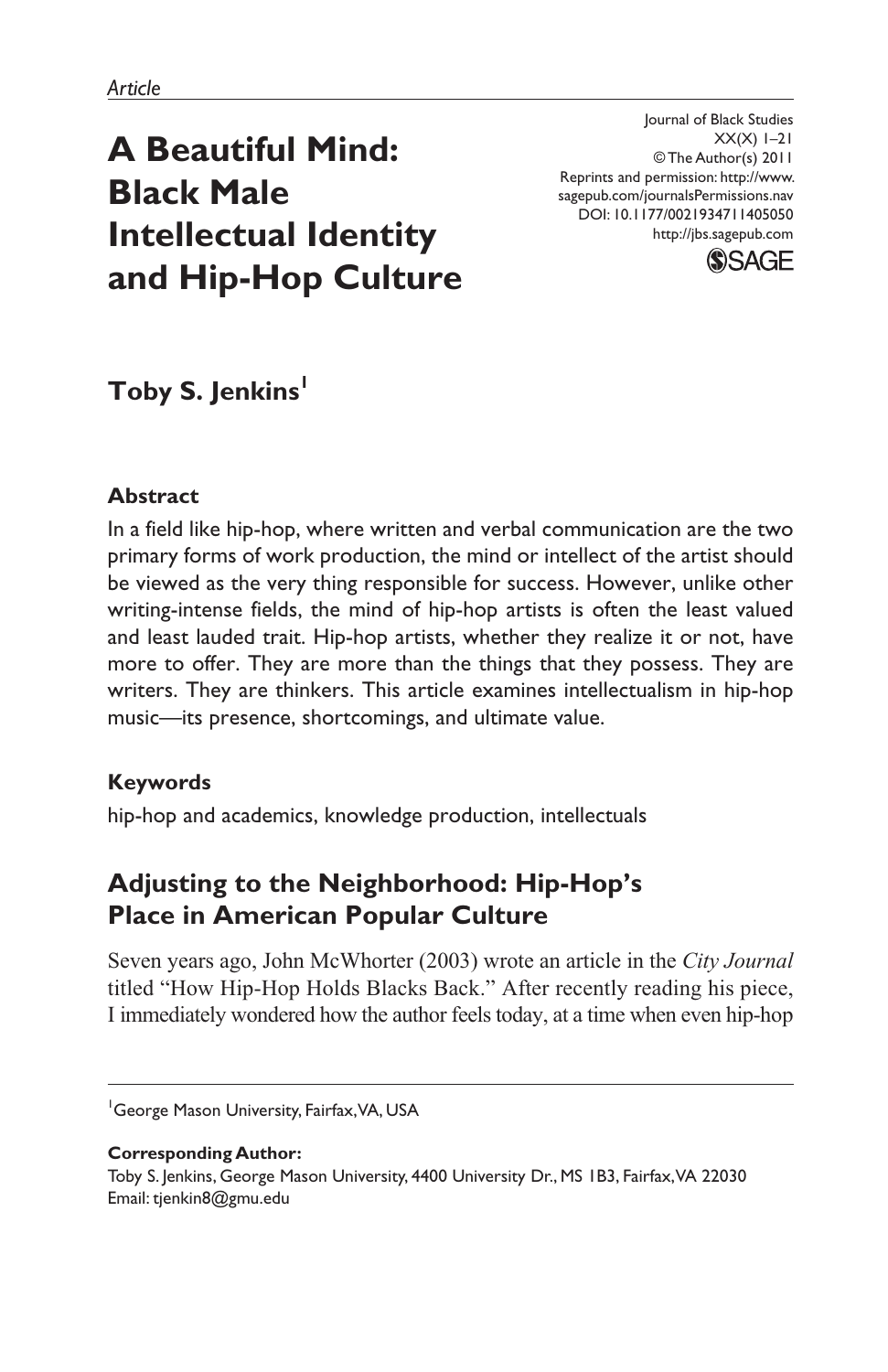# **A Beautiful Mind: Black Male Intellectual Identity and Hip-Hop Culture**

Journal of Black Studies  $XX(X)$  1–21 © The Author(s) 2011 Reprints and permission: http://www. sagepub.com/journalsPermissions.nav DOI: 10.1177/0021934711405050 http://jbs.sagepub.com



# Toby S. Jenkins<sup>1</sup>

## **Abstract**

In a field like hip-hop, where written and verbal communication are the two primary forms of work production, the mind or intellect of the artist should be viewed as the very thing responsible for success. However, unlike other writing-intense fields, the mind of hip-hop artists is often the least valued and least lauded trait. Hip-hop artists, whether they realize it or not, have more to offer. They are more than the things that they possess. They are writers. They are thinkers. This article examines intellectualism in hip-hop music—its presence, shortcomings, and ultimate value.

## **Keywords**

hip-hop and academics, knowledge production, intellectuals

## **Adjusting to the Neighborhood: Hip-Hop's Place in American Popular Culture**

Seven years ago, John McWhorter (2003) wrote an article in the *City Journal* titled "How Hip-Hop Holds Blacks Back." After recently reading his piece, I immediately wondered how the author feels today, at a time when even hip-hop

#### **Corresponding Author:**

Toby S. Jenkins, George Mason University, 4400 University Dr., MS 1B3, Fairfax, VA 22030 Email: tjenkin8@gmu.edu

<sup>&</sup>lt;sup>1</sup>George Mason University, Fairfax, VA, USA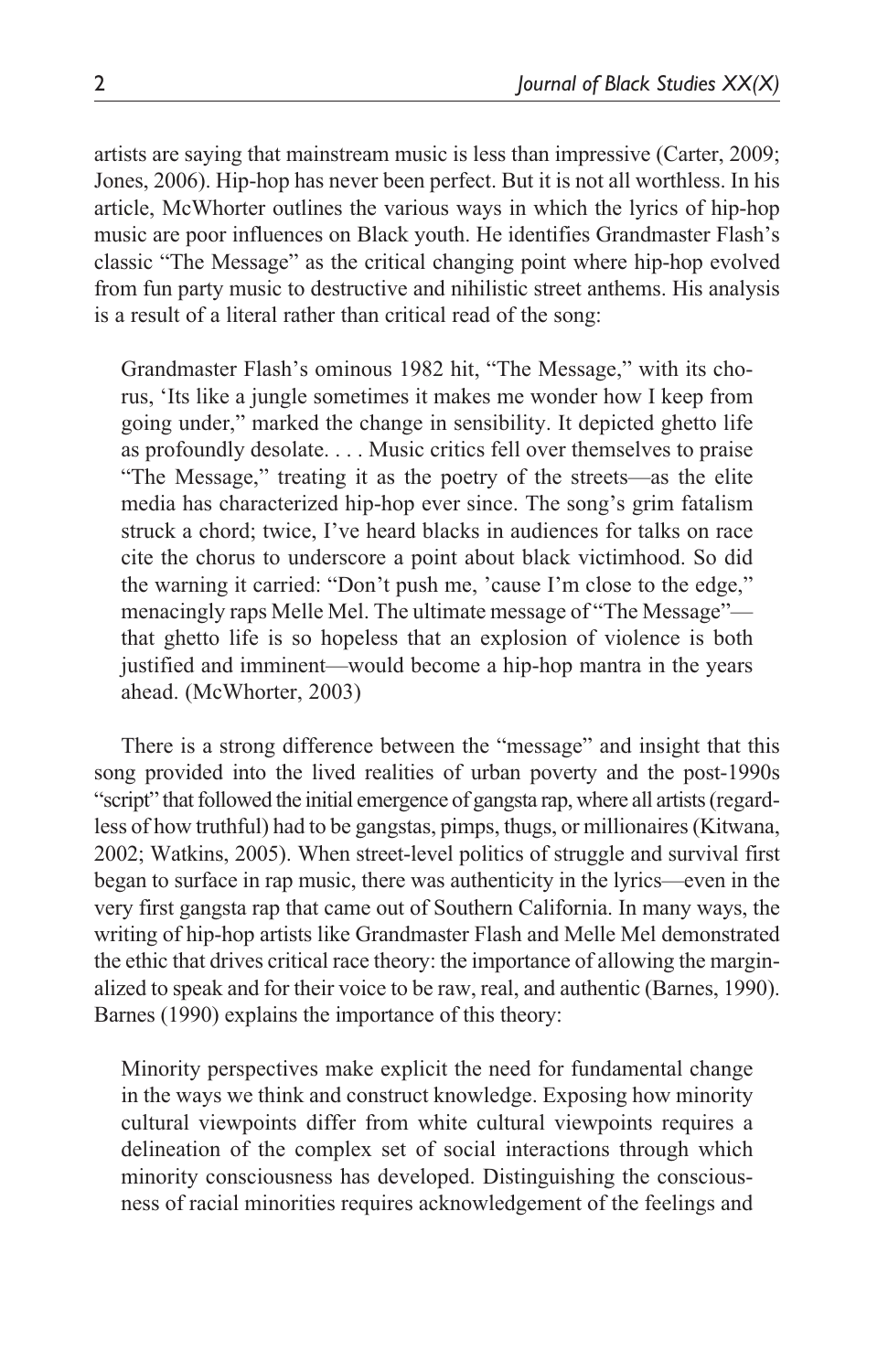artists are saying that mainstream music is less than impressive (Carter, 2009; Jones, 2006). Hip-hop has never been perfect. But it is not all worthless. In his article, McWhorter outlines the various ways in which the lyrics of hip-hop music are poor influences on Black youth. He identifies Grandmaster Flash's classic "The Message" as the critical changing point where hip-hop evolved from fun party music to destructive and nihilistic street anthems. His analysis is a result of a literal rather than critical read of the song:

Grandmaster Flash's ominous 1982 hit, "The Message," with its chorus, 'Its like a jungle sometimes it makes me wonder how I keep from going under," marked the change in sensibility. It depicted ghetto life as profoundly desolate. . . . Music critics fell over themselves to praise "The Message," treating it as the poetry of the streets—as the elite media has characterized hip-hop ever since. The song's grim fatalism struck a chord; twice, I've heard blacks in audiences for talks on race cite the chorus to underscore a point about black victimhood. So did the warning it carried: "Don't push me, 'cause I'm close to the edge," menacingly raps Melle Mel. The ultimate message of "The Message" that ghetto life is so hopeless that an explosion of violence is both justified and imminent—would become a hip-hop mantra in the years ahead. (McWhorter, 2003)

There is a strong difference between the "message" and insight that this song provided into the lived realities of urban poverty and the post-1990s "script" that followed the initial emergence of gangsta rap, where all artists (regardless of how truthful) had to be gangstas, pimps, thugs, or millionaires (Kitwana, 2002; Watkins, 2005). When street-level politics of struggle and survival first began to surface in rap music, there was authenticity in the lyrics—even in the very first gangsta rap that came out of Southern California. In many ways, the writing of hip-hop artists like Grandmaster Flash and Melle Mel demonstrated the ethic that drives critical race theory: the importance of allowing the marginalized to speak and for their voice to be raw, real, and authentic (Barnes, 1990). Barnes (1990) explains the importance of this theory:

Minority perspectives make explicit the need for fundamental change in the ways we think and construct knowledge. Exposing how minority cultural viewpoints differ from white cultural viewpoints requires a delineation of the complex set of social interactions through which minority consciousness has developed. Distinguishing the consciousness of racial minorities requires acknowledgement of the feelings and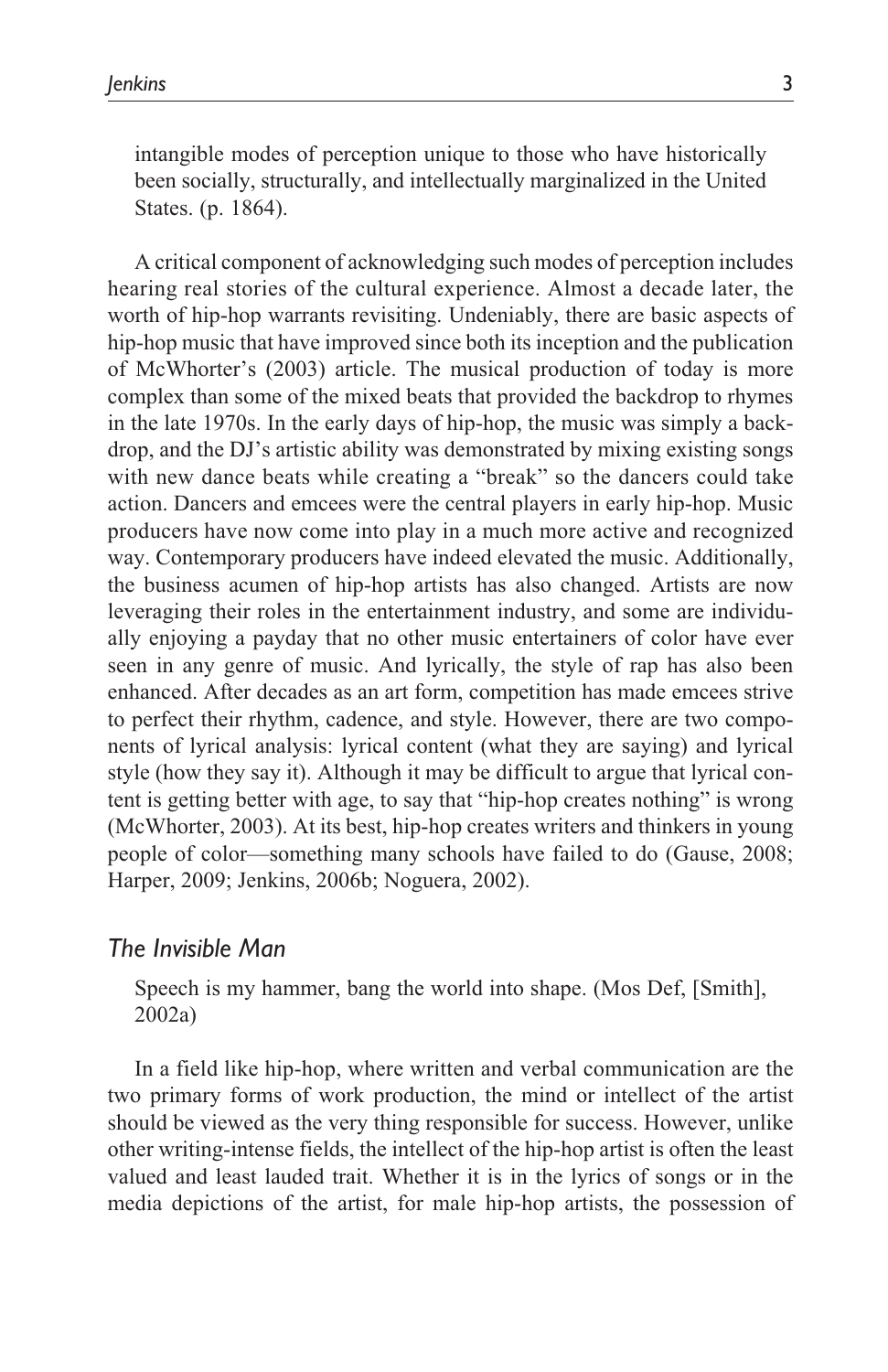intangible modes of perception unique to those who have historically been socially, structurally, and intellectually marginalized in the United States. (p. 1864).

A critical component of acknowledging such modes of perception includes hearing real stories of the cultural experience. Almost a decade later, the worth of hip-hop warrants revisiting. Undeniably, there are basic aspects of hip-hop music that have improved since both its inception and the publication of McWhorter's (2003) article. The musical production of today is more complex than some of the mixed beats that provided the backdrop to rhymes in the late 1970s. In the early days of hip-hop, the music was simply a backdrop, and the DJ's artistic ability was demonstrated by mixing existing songs with new dance beats while creating a "break" so the dancers could take action. Dancers and emcees were the central players in early hip-hop. Music producers have now come into play in a much more active and recognized way. Contemporary producers have indeed elevated the music. Additionally, the business acumen of hip-hop artists has also changed. Artists are now leveraging their roles in the entertainment industry, and some are individually enjoying a payday that no other music entertainers of color have ever seen in any genre of music. And lyrically, the style of rap has also been enhanced. After decades as an art form, competition has made emcees strive to perfect their rhythm, cadence, and style. However, there are two components of lyrical analysis: lyrical content (what they are saying) and lyrical style (how they say it). Although it may be difficult to argue that lyrical content is getting better with age, to say that "hip-hop creates nothing" is wrong (McWhorter, 2003). At its best, hip-hop creates writers and thinkers in young people of color—something many schools have failed to do (Gause, 2008; Harper, 2009; Jenkins, 2006b; Noguera, 2002).

#### *The Invisible Man*

Speech is my hammer, bang the world into shape. (Mos Def, [Smith], 2002a)

In a field like hip-hop, where written and verbal communication are the two primary forms of work production, the mind or intellect of the artist should be viewed as the very thing responsible for success. However, unlike other writing-intense fields, the intellect of the hip-hop artist is often the least valued and least lauded trait. Whether it is in the lyrics of songs or in the media depictions of the artist, for male hip-hop artists, the possession of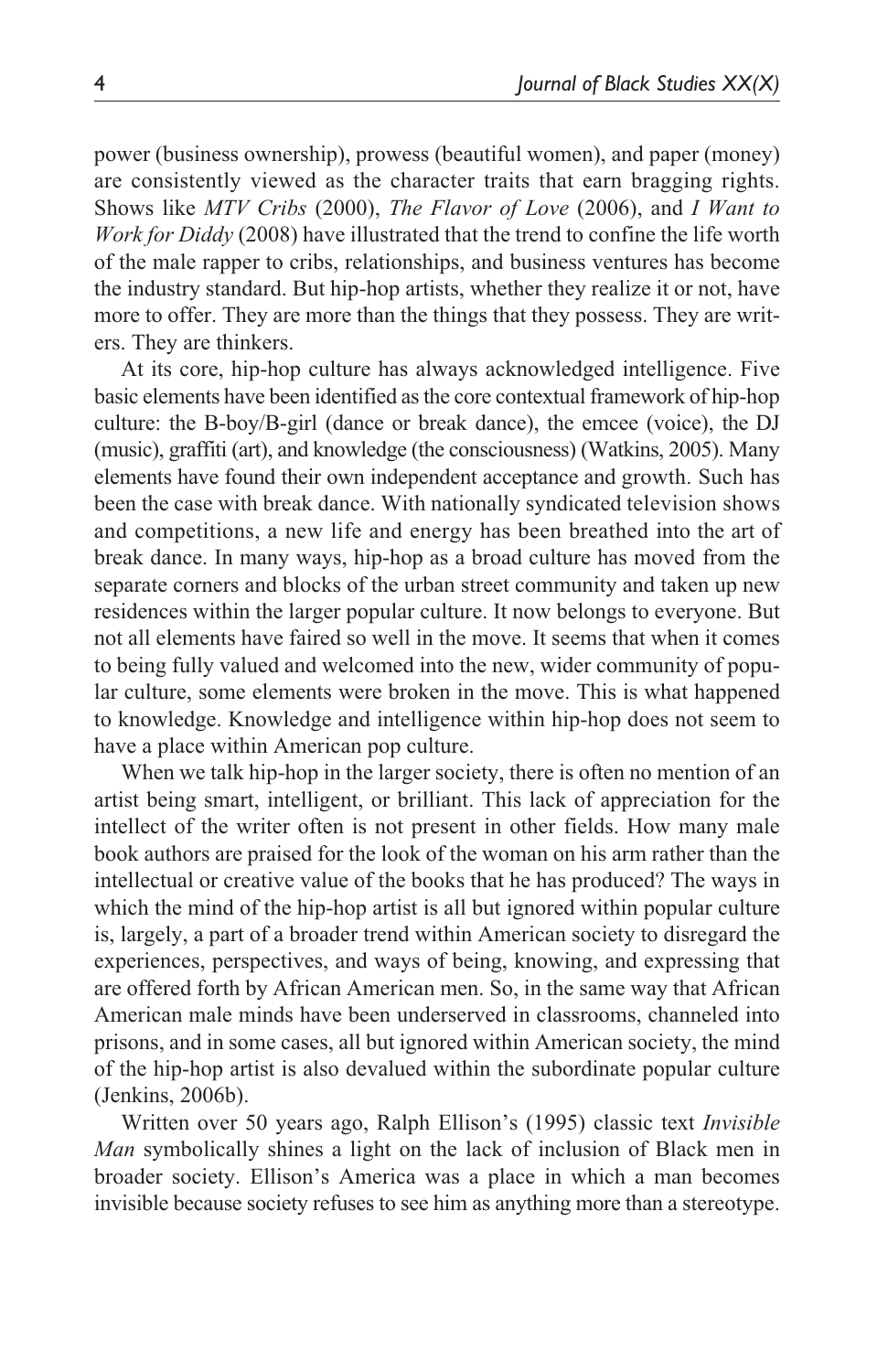power (business ownership), prowess (beautiful women), and paper (money) are consistently viewed as the character traits that earn bragging rights. Shows like *MTV Cribs* (2000), *The Flavor of Love* (2006), and *I Want to Work for Diddy* (2008) have illustrated that the trend to confine the life worth of the male rapper to cribs, relationships, and business ventures has become the industry standard. But hip-hop artists, whether they realize it or not, have more to offer. They are more than the things that they possess. They are writers. They are thinkers.

At its core, hip-hop culture has always acknowledged intelligence. Five basic elements have been identified as the core contextual framework of hip-hop culture: the B-boy/B-girl (dance or break dance), the emcee (voice), the DJ (music), graffiti (art), and knowledge (the consciousness) (Watkins, 2005). Many elements have found their own independent acceptance and growth. Such has been the case with break dance. With nationally syndicated television shows and competitions, a new life and energy has been breathed into the art of break dance. In many ways, hip-hop as a broad culture has moved from the separate corners and blocks of the urban street community and taken up new residences within the larger popular culture. It now belongs to everyone. But not all elements have faired so well in the move. It seems that when it comes to being fully valued and welcomed into the new, wider community of popular culture, some elements were broken in the move. This is what happened to knowledge. Knowledge and intelligence within hip-hop does not seem to have a place within American pop culture.

When we talk hip-hop in the larger society, there is often no mention of an artist being smart, intelligent, or brilliant. This lack of appreciation for the intellect of the writer often is not present in other fields. How many male book authors are praised for the look of the woman on his arm rather than the intellectual or creative value of the books that he has produced? The ways in which the mind of the hip-hop artist is all but ignored within popular culture is, largely, a part of a broader trend within American society to disregard the experiences, perspectives, and ways of being, knowing, and expressing that are offered forth by African American men. So, in the same way that African American male minds have been underserved in classrooms, channeled into prisons, and in some cases, all but ignored within American society, the mind of the hip-hop artist is also devalued within the subordinate popular culture (Jenkins, 2006b).

Written over 50 years ago, Ralph Ellison's (1995) classic text *Invisible Man* symbolically shines a light on the lack of inclusion of Black men in broader society. Ellison's America was a place in which a man becomes invisible because society refuses to see him as anything more than a stereotype.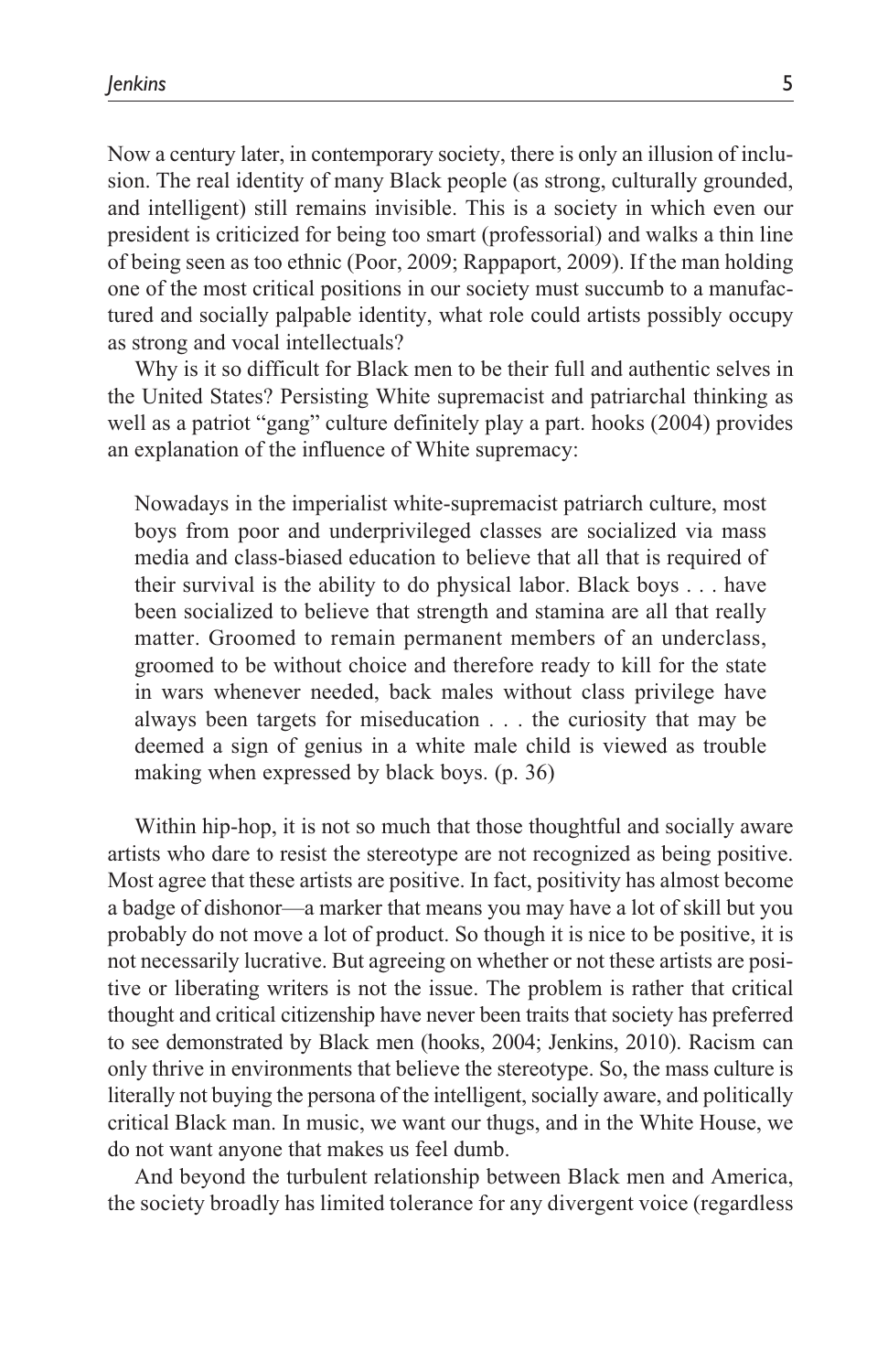Now a century later, in contemporary society, there is only an illusion of inclusion. The real identity of many Black people (as strong, culturally grounded, and intelligent) still remains invisible. This is a society in which even our president is criticized for being too smart (professorial) and walks a thin line of being seen as too ethnic (Poor, 2009; Rappaport, 2009). If the man holding one of the most critical positions in our society must succumb to a manufactured and socially palpable identity, what role could artists possibly occupy as strong and vocal intellectuals?

Why is it so difficult for Black men to be their full and authentic selves in the United States? Persisting White supremacist and patriarchal thinking as well as a patriot "gang" culture definitely play a part. hooks (2004) provides an explanation of the influence of White supremacy:

Nowadays in the imperialist white-supremacist patriarch culture, most boys from poor and underprivileged classes are socialized via mass media and class-biased education to believe that all that is required of their survival is the ability to do physical labor. Black boys . . . have been socialized to believe that strength and stamina are all that really matter. Groomed to remain permanent members of an underclass, groomed to be without choice and therefore ready to kill for the state in wars whenever needed, back males without class privilege have always been targets for miseducation . . . the curiosity that may be deemed a sign of genius in a white male child is viewed as trouble making when expressed by black boys. (p. 36)

Within hip-hop, it is not so much that those thoughtful and socially aware artists who dare to resist the stereotype are not recognized as being positive. Most agree that these artists are positive. In fact, positivity has almost become a badge of dishonor—a marker that means you may have a lot of skill but you probably do not move a lot of product. So though it is nice to be positive, it is not necessarily lucrative. But agreeing on whether or not these artists are positive or liberating writers is not the issue. The problem is rather that critical thought and critical citizenship have never been traits that society has preferred to see demonstrated by Black men (hooks, 2004; Jenkins, 2010). Racism can only thrive in environments that believe the stereotype. So, the mass culture is literally not buying the persona of the intelligent, socially aware, and politically critical Black man. In music, we want our thugs, and in the White House, we do not want anyone that makes us feel dumb.

And beyond the turbulent relationship between Black men and America, the society broadly has limited tolerance for any divergent voice (regardless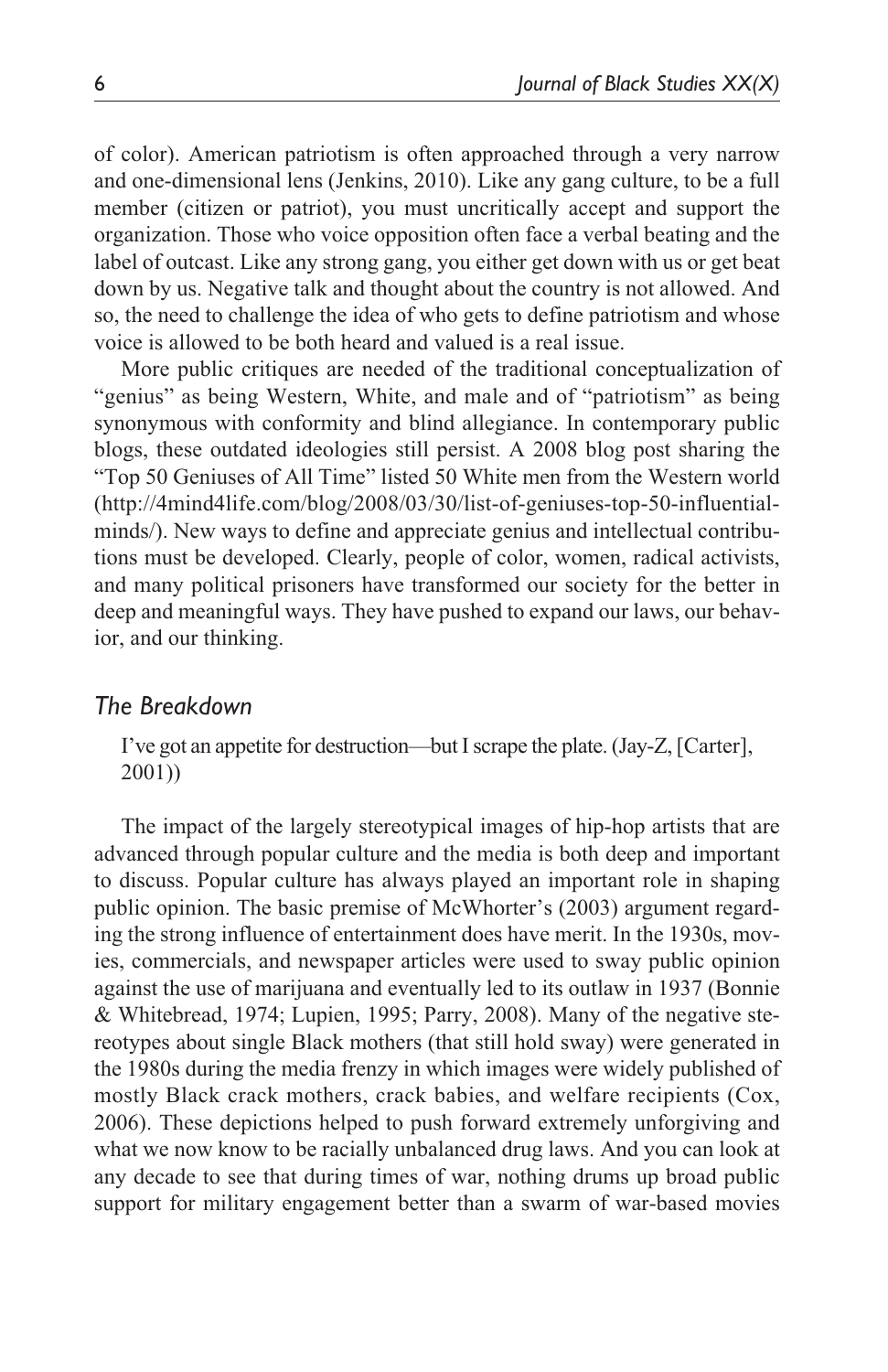of color). American patriotism is often approached through a very narrow and one-dimensional lens (Jenkins, 2010). Like any gang culture, to be a full member (citizen or patriot), you must uncritically accept and support the organization. Those who voice opposition often face a verbal beating and the label of outcast. Like any strong gang, you either get down with us or get beat down by us. Negative talk and thought about the country is not allowed. And so, the need to challenge the idea of who gets to define patriotism and whose voice is allowed to be both heard and valued is a real issue.

More public critiques are needed of the traditional conceptualization of "genius" as being Western, White, and male and of "patriotism" as being synonymous with conformity and blind allegiance. In contemporary public blogs, these outdated ideologies still persist. A 2008 blog post sharing the "Top 50 Geniuses of All Time" listed 50 White men from the Western world (http://4mind4life.com/blog/2008/03/30/list-of-geniuses-top-50-influentialminds/). New ways to define and appreciate genius and intellectual contributions must be developed. Clearly, people of color, women, radical activists, and many political prisoners have transformed our society for the better in deep and meaningful ways. They have pushed to expand our laws, our behavior, and our thinking.

### *The Breakdown*

I've got an appetite for destruction—but I scrape the plate. (Jay-Z, [Carter], 2001))

The impact of the largely stereotypical images of hip-hop artists that are advanced through popular culture and the media is both deep and important to discuss. Popular culture has always played an important role in shaping public opinion. The basic premise of McWhorter's (2003) argument regarding the strong influence of entertainment does have merit. In the 1930s, movies, commercials, and newspaper articles were used to sway public opinion against the use of marijuana and eventually led to its outlaw in 1937 (Bonnie & Whitebread, 1974; Lupien, 1995; Parry, 2008). Many of the negative stereotypes about single Black mothers (that still hold sway) were generated in the 1980s during the media frenzy in which images were widely published of mostly Black crack mothers, crack babies, and welfare recipients (Cox, 2006). These depictions helped to push forward extremely unforgiving and what we now know to be racially unbalanced drug laws. And you can look at any decade to see that during times of war, nothing drums up broad public support for military engagement better than a swarm of war-based movies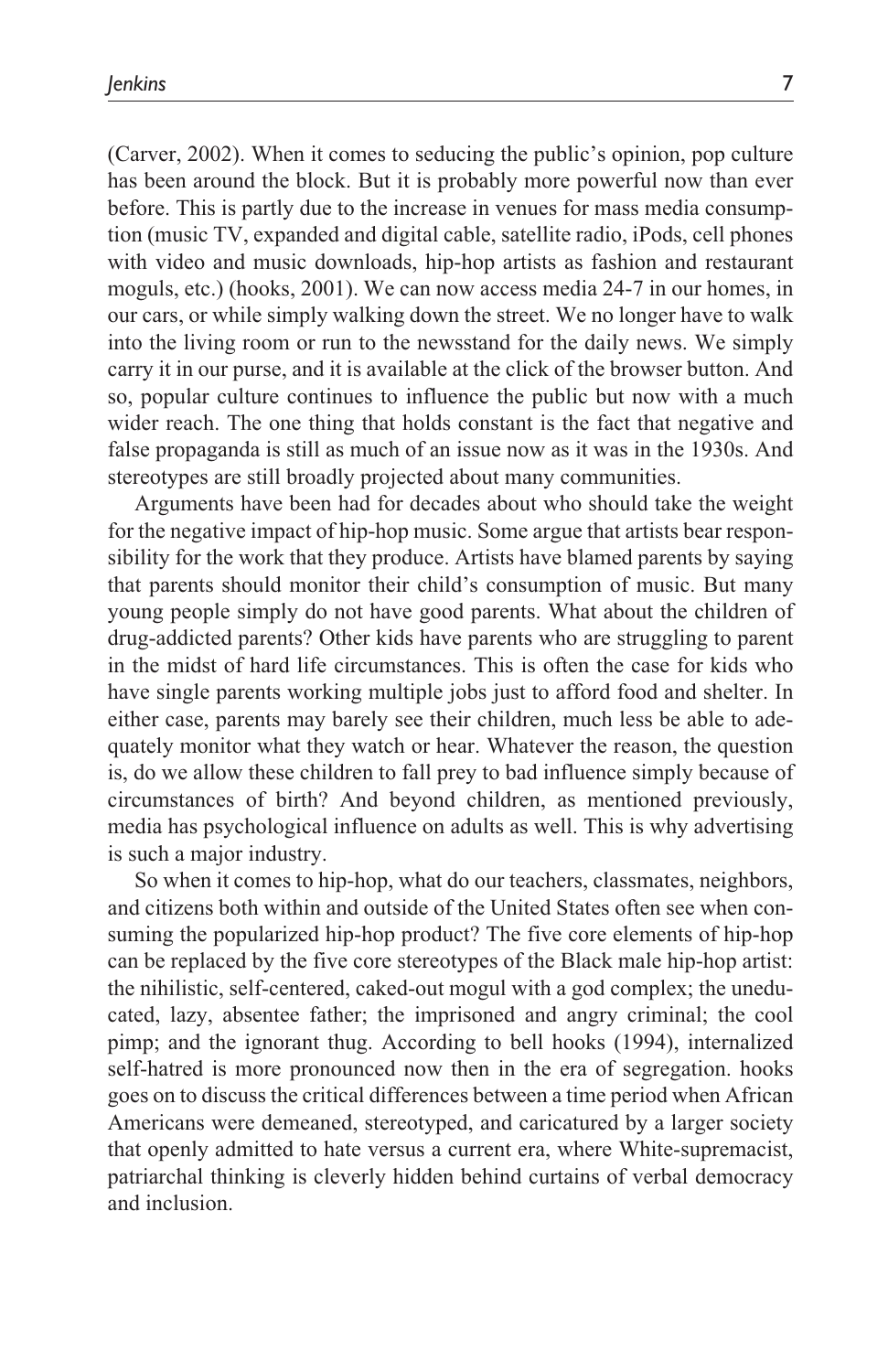(Carver, 2002). When it comes to seducing the public's opinion, pop culture has been around the block. But it is probably more powerful now than ever before. This is partly due to the increase in venues for mass media consumption (music TV, expanded and digital cable, satellite radio, iPods, cell phones with video and music downloads, hip-hop artists as fashion and restaurant moguls, etc.) (hooks, 2001). We can now access media 24-7 in our homes, in our cars, or while simply walking down the street. We no longer have to walk into the living room or run to the newsstand for the daily news. We simply carry it in our purse, and it is available at the click of the browser button. And so, popular culture continues to influence the public but now with a much wider reach. The one thing that holds constant is the fact that negative and false propaganda is still as much of an issue now as it was in the 1930s. And stereotypes are still broadly projected about many communities.

Arguments have been had for decades about who should take the weight for the negative impact of hip-hop music. Some argue that artists bear responsibility for the work that they produce. Artists have blamed parents by saying that parents should monitor their child's consumption of music. But many young people simply do not have good parents. What about the children of drug-addicted parents? Other kids have parents who are struggling to parent in the midst of hard life circumstances. This is often the case for kids who have single parents working multiple jobs just to afford food and shelter. In either case, parents may barely see their children, much less be able to adequately monitor what they watch or hear. Whatever the reason, the question is, do we allow these children to fall prey to bad influence simply because of circumstances of birth? And beyond children, as mentioned previously, media has psychological influence on adults as well. This is why advertising is such a major industry.

So when it comes to hip-hop, what do our teachers, classmates, neighbors, and citizens both within and outside of the United States often see when consuming the popularized hip-hop product? The five core elements of hip-hop can be replaced by the five core stereotypes of the Black male hip-hop artist: the nihilistic, self-centered, caked-out mogul with a god complex; the uneducated, lazy, absentee father; the imprisoned and angry criminal; the cool pimp; and the ignorant thug. According to bell hooks (1994), internalized self-hatred is more pronounced now then in the era of segregation. hooks goes on to discuss the critical differences between a time period when African Americans were demeaned, stereotyped, and caricatured by a larger society that openly admitted to hate versus a current era, where White-supremacist, patriarchal thinking is cleverly hidden behind curtains of verbal democracy and inclusion.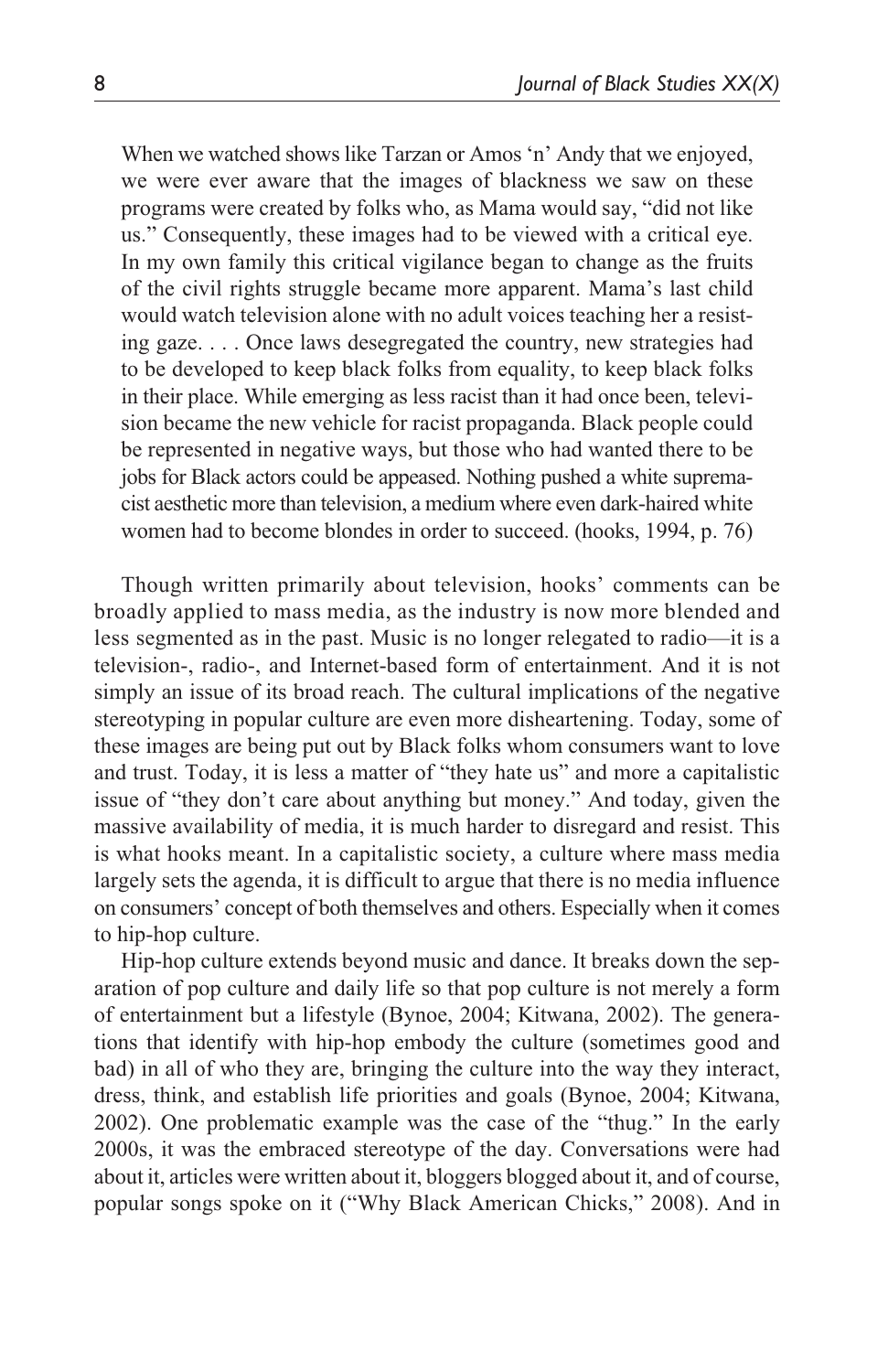When we watched shows like Tarzan or Amos 'n' Andy that we enjoyed, we were ever aware that the images of blackness we saw on these programs were created by folks who, as Mama would say, "did not like us." Consequently, these images had to be viewed with a critical eye. In my own family this critical vigilance began to change as the fruits of the civil rights struggle became more apparent. Mama's last child would watch television alone with no adult voices teaching her a resisting gaze. . . . Once laws desegregated the country, new strategies had to be developed to keep black folks from equality, to keep black folks in their place. While emerging as less racist than it had once been, television became the new vehicle for racist propaganda. Black people could be represented in negative ways, but those who had wanted there to be jobs for Black actors could be appeased. Nothing pushed a white supremacist aesthetic more than television, a medium where even dark-haired white women had to become blondes in order to succeed. (hooks, 1994, p. 76)

Though written primarily about television, hooks' comments can be broadly applied to mass media, as the industry is now more blended and less segmented as in the past. Music is no longer relegated to radio—it is a television-, radio-, and Internet-based form of entertainment. And it is not simply an issue of its broad reach. The cultural implications of the negative stereotyping in popular culture are even more disheartening. Today, some of these images are being put out by Black folks whom consumers want to love and trust. Today, it is less a matter of "they hate us" and more a capitalistic issue of "they don't care about anything but money." And today, given the massive availability of media, it is much harder to disregard and resist. This is what hooks meant. In a capitalistic society, a culture where mass media largely sets the agenda, it is difficult to argue that there is no media influence on consumers' concept of both themselves and others. Especially when it comes to hip-hop culture.

Hip-hop culture extends beyond music and dance. It breaks down the separation of pop culture and daily life so that pop culture is not merely a form of entertainment but a lifestyle (Bynoe, 2004; Kitwana, 2002). The generations that identify with hip-hop embody the culture (sometimes good and bad) in all of who they are, bringing the culture into the way they interact, dress, think, and establish life priorities and goals (Bynoe, 2004; Kitwana, 2002). One problematic example was the case of the "thug." In the early 2000s, it was the embraced stereotype of the day. Conversations were had about it, articles were written about it, bloggers blogged about it, and of course, popular songs spoke on it ("Why Black American Chicks," 2008). And in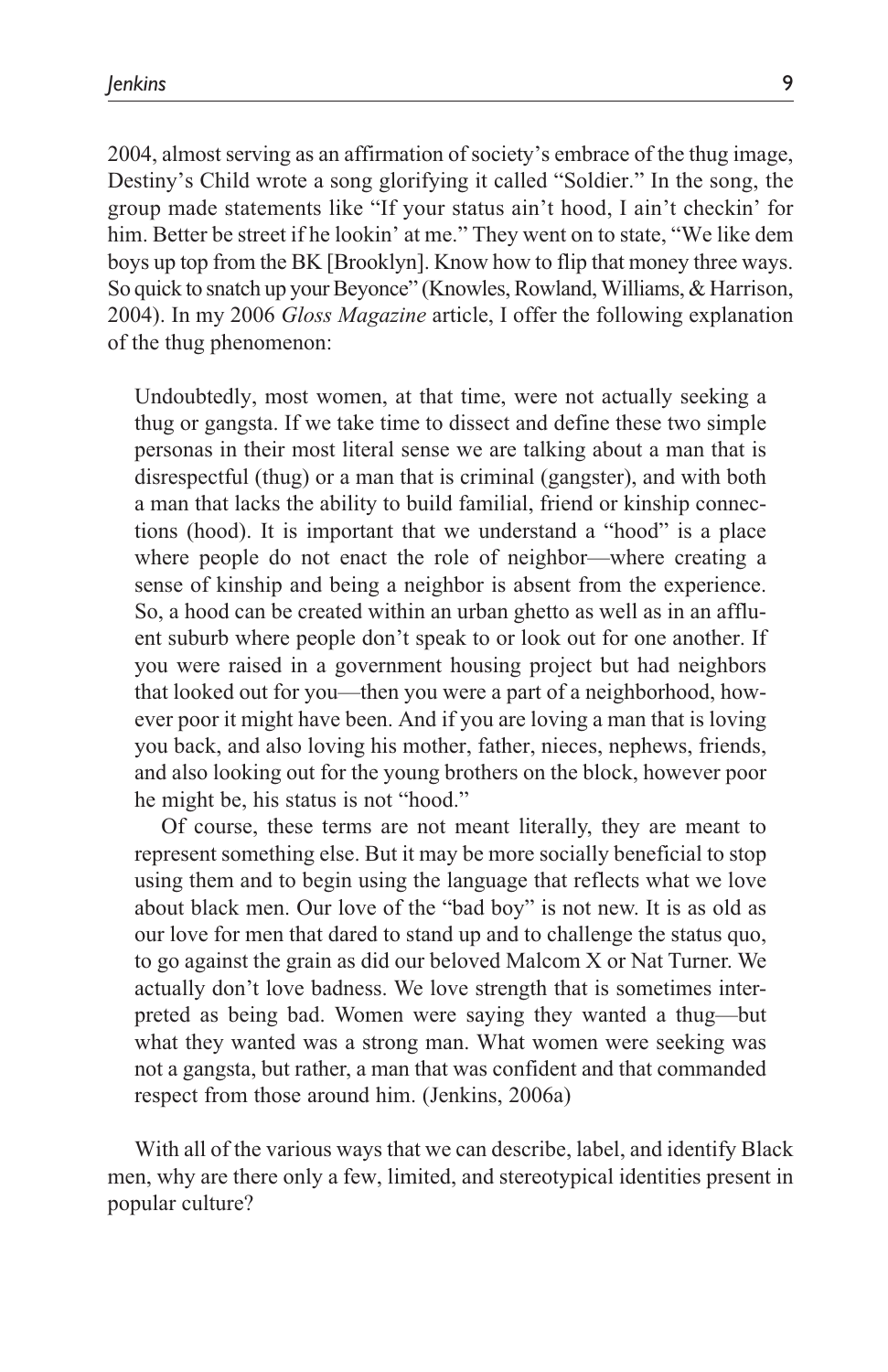2004, almost serving as an affirmation of society's embrace of the thug image, Destiny's Child wrote a song glorifying it called "Soldier." In the song, the group made statements like "If your status ain't hood, I ain't checkin' for him. Better be street if he lookin' at me." They went on to state, "We like dem boys up top from the BK [Brooklyn]. Know how to flip that money three ways. So quick to snatch up your Beyonce" (Knowles, Rowland, Williams, & Harrison, 2004). In my 2006 *Gloss Magazine* article, I offer the following explanation of the thug phenomenon:

Undoubtedly, most women, at that time, were not actually seeking a thug or gangsta. If we take time to dissect and define these two simple personas in their most literal sense we are talking about a man that is disrespectful (thug) or a man that is criminal (gangster), and with both a man that lacks the ability to build familial, friend or kinship connections (hood). It is important that we understand a "hood" is a place where people do not enact the role of neighbor—where creating a sense of kinship and being a neighbor is absent from the experience. So, a hood can be created within an urban ghetto as well as in an affluent suburb where people don't speak to or look out for one another. If you were raised in a government housing project but had neighbors that looked out for you—then you were a part of a neighborhood, however poor it might have been. And if you are loving a man that is loving you back, and also loving his mother, father, nieces, nephews, friends, and also looking out for the young brothers on the block, however poor he might be, his status is not "hood."

Of course, these terms are not meant literally, they are meant to represent something else. But it may be more socially beneficial to stop using them and to begin using the language that reflects what we love about black men. Our love of the "bad boy" is not new. It is as old as our love for men that dared to stand up and to challenge the status quo, to go against the grain as did our beloved Malcom X or Nat Turner. We actually don't love badness. We love strength that is sometimes interpreted as being bad. Women were saying they wanted a thug—but what they wanted was a strong man. What women were seeking was not a gangsta, but rather, a man that was confident and that commanded respect from those around him. (Jenkins, 2006a)

With all of the various ways that we can describe, label, and identify Black men, why are there only a few, limited, and stereotypical identities present in popular culture?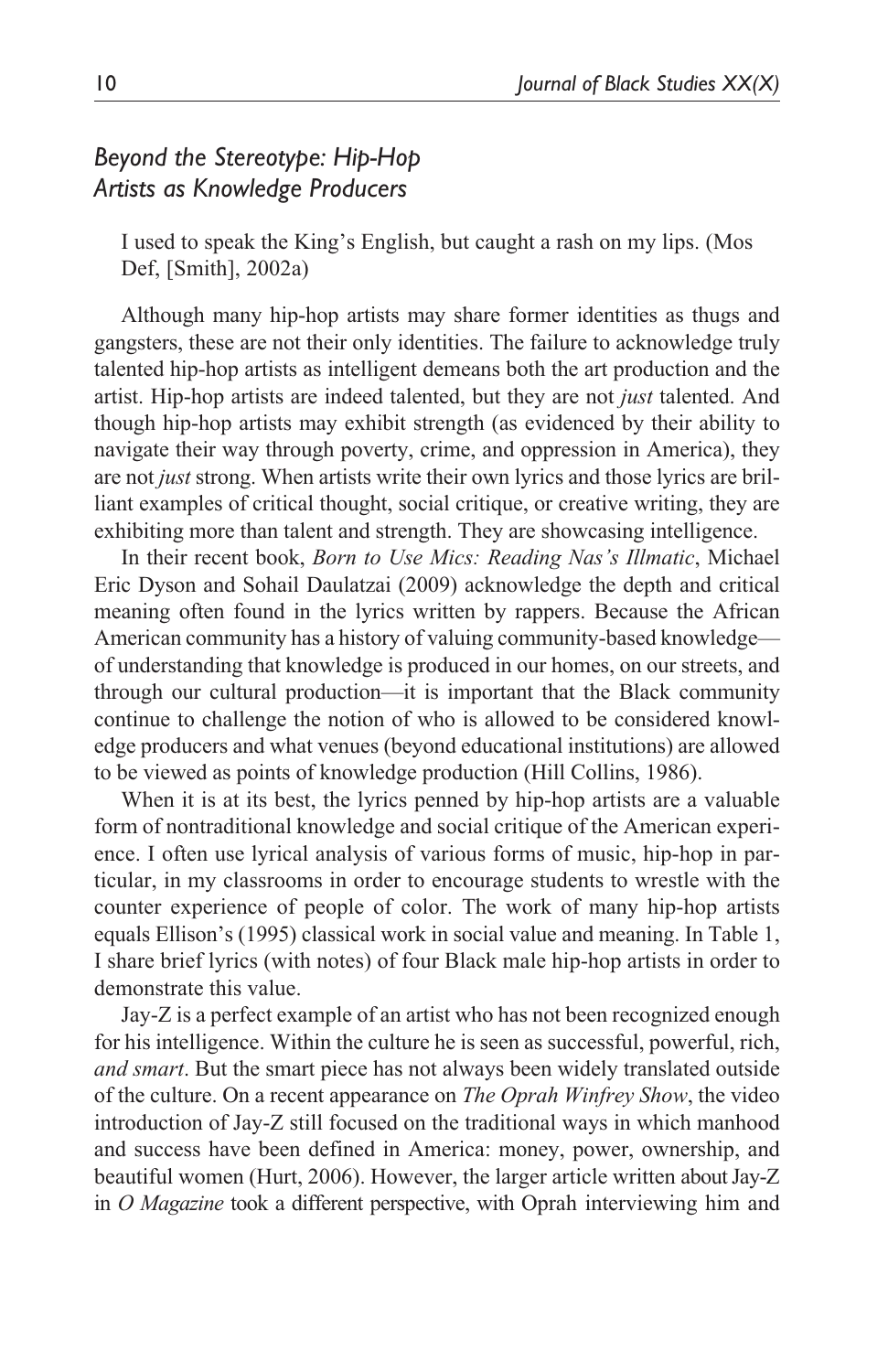## *Beyond the Stereotype: Hip-Hop Artists as Knowledge Producers*

I used to speak the King's English, but caught a rash on my lips. (Mos Def, [Smith], 2002a)

Although many hip-hop artists may share former identities as thugs and gangsters, these are not their only identities. The failure to acknowledge truly talented hip-hop artists as intelligent demeans both the art production and the artist. Hip-hop artists are indeed talented, but they are not *just* talented. And though hip-hop artists may exhibit strength (as evidenced by their ability to navigate their way through poverty, crime, and oppression in America), they are not *just* strong. When artists write their own lyrics and those lyrics are brilliant examples of critical thought, social critique, or creative writing, they are exhibiting more than talent and strength. They are showcasing intelligence.

In their recent book, *Born to Use Mics: Reading Nas's Illmatic*, Michael Eric Dyson and Sohail Daulatzai (2009) acknowledge the depth and critical meaning often found in the lyrics written by rappers. Because the African American community has a history of valuing community-based knowledge of understanding that knowledge is produced in our homes, on our streets, and through our cultural production—it is important that the Black community continue to challenge the notion of who is allowed to be considered knowledge producers and what venues (beyond educational institutions) are allowed to be viewed as points of knowledge production (Hill Collins, 1986).

When it is at its best, the lyrics penned by hip-hop artists are a valuable form of nontraditional knowledge and social critique of the American experience. I often use lyrical analysis of various forms of music, hip-hop in particular, in my classrooms in order to encourage students to wrestle with the counter experience of people of color. The work of many hip-hop artists equals Ellison's (1995) classical work in social value and meaning. In Table 1, I share brief lyrics (with notes) of four Black male hip-hop artists in order to demonstrate this value.

Jay-Z is a perfect example of an artist who has not been recognized enough for his intelligence. Within the culture he is seen as successful, powerful, rich, *and smart*. But the smart piece has not always been widely translated outside of the culture. On a recent appearance on *The Oprah Winfrey Show*, the video introduction of Jay-Z still focused on the traditional ways in which manhood and success have been defined in America: money, power, ownership, and beautiful women (Hurt, 2006). However, the larger article written about Jay-Z in *O Magazine* took a different perspective, with Oprah interviewing him and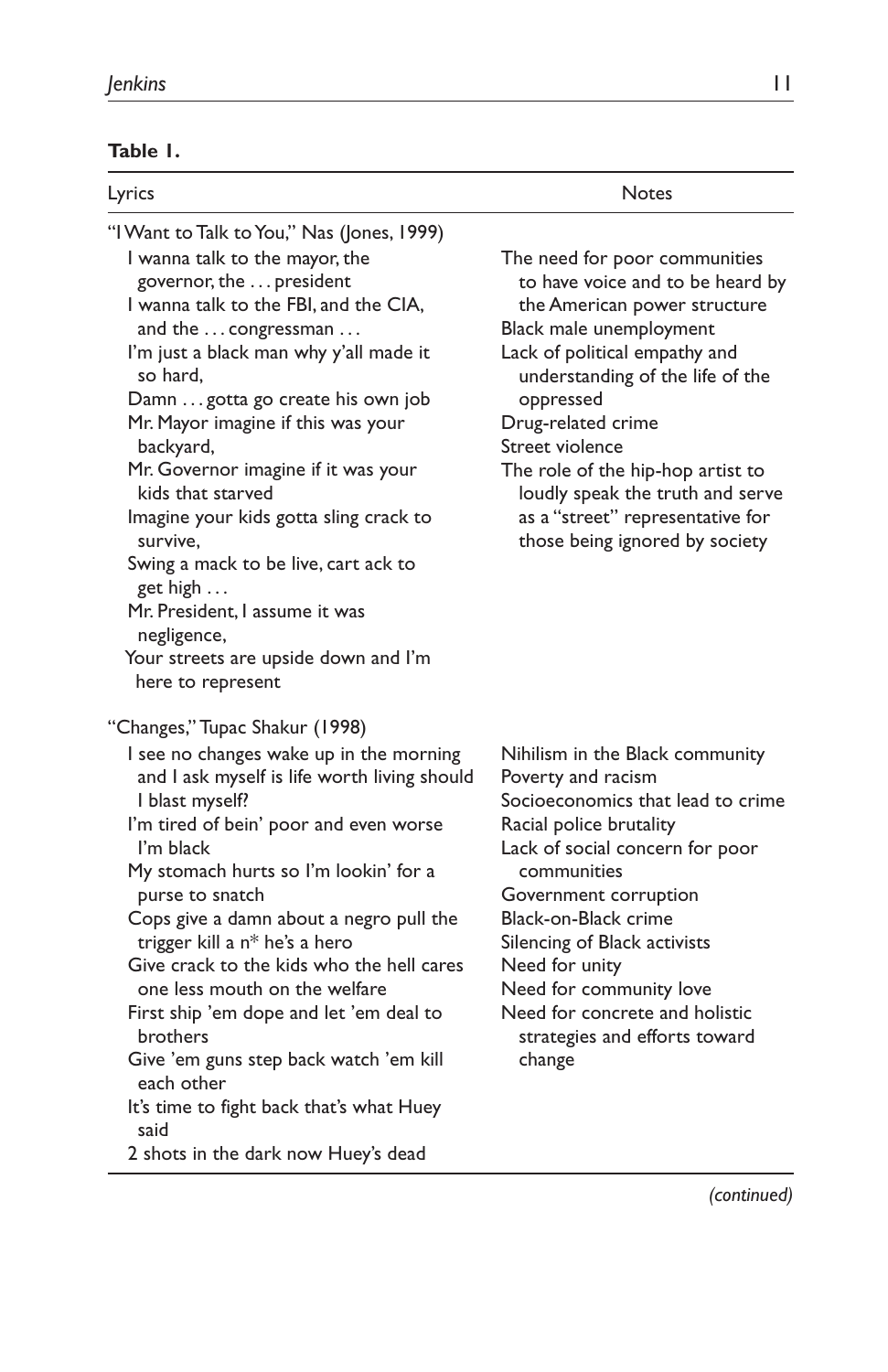## **Table 1.**

| Lyrics                                                                                                                                                                                                                                                                                                                                                                                                                                                                                                                                                                                                                                                     | <b>Notes</b>                                                                                                                                                                                                                                                                                                                                                                                           |
|------------------------------------------------------------------------------------------------------------------------------------------------------------------------------------------------------------------------------------------------------------------------------------------------------------------------------------------------------------------------------------------------------------------------------------------------------------------------------------------------------------------------------------------------------------------------------------------------------------------------------------------------------------|--------------------------------------------------------------------------------------------------------------------------------------------------------------------------------------------------------------------------------------------------------------------------------------------------------------------------------------------------------------------------------------------------------|
| "I Want to Talk to You," Nas (Jones, 1999)                                                                                                                                                                                                                                                                                                                                                                                                                                                                                                                                                                                                                 |                                                                                                                                                                                                                                                                                                                                                                                                        |
| I wanna talk to the mayor, the<br>governor, the  president<br>I wanna talk to the FBI, and the CIA,<br>and the  congressman<br>I'm just a black man why y'all made it<br>so hard,<br>Damn  gotta go create his own job<br>Mr. Mayor imagine if this was your<br>backyard,<br>Mr. Governor imagine if it was your<br>kids that starved<br>Imagine your kids gotta sling crack to<br>survive,<br>Swing a mack to be live, cart ack to<br>get high<br>Mr. President, I assume it was<br>negligence,<br>Your streets are upside down and I'm<br>here to represent                                                                                              | The need for poor communities<br>to have voice and to be heard by<br>the American power structure<br>Black male unemployment<br>Lack of political empathy and<br>understanding of the life of the<br>oppressed<br>Drug-related crime<br>Street violence<br>The role of the hip-hop artist to<br>loudly speak the truth and serve<br>as a "street" representative for<br>those being ignored by society |
| "Changes," Tupac Shakur (1998)<br>I see no changes wake up in the morning<br>and I ask myself is life worth living should<br>I blast myself?<br>I'm tired of bein' poor and even worse<br>I'm black<br>My stomach hurts so I'm lookin' for a<br>purse to snatch<br>Cops give a damn about a negro pull the<br>trigger kill a n* he's a hero<br>Give crack to the kids who the hell cares<br>one less mouth on the welfare<br>First ship 'em dope and let 'em deal to<br>brothers<br>Give 'em guns step back watch 'em kill<br>each other<br>It's time to fight back that's what Huey<br>said<br>والمستحلف والاستبداء المستندي والمساوي والمستطيع ومستطيعات | Nihilism in the Black community<br>Poverty and racism<br>Socioeconomics that lead to crime<br>Racial police brutality<br>Lack of social concern for poor<br>communities<br>Government corruption<br>Black-on-Black crime<br>Silencing of Black activists<br>Need for unity<br>Need for community love<br>Need for concrete and holistic<br>strategies and efforts toward<br>change                     |

2 shots in the dark now Huey's dead

*(continued)*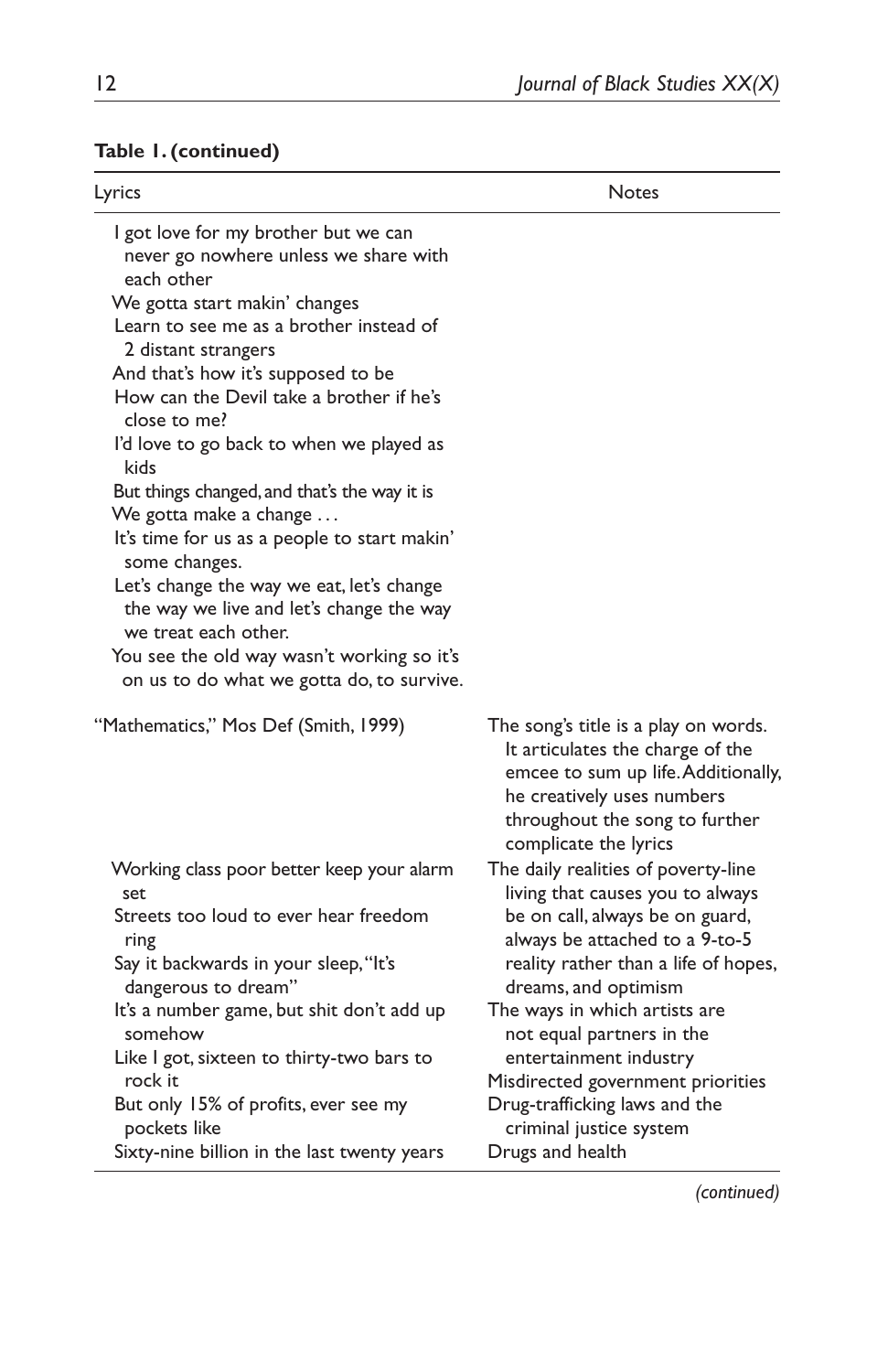## **Table 1. (continued)**

| Lyrics                                                                                      | Notes                                                                                                                                                                                                    |
|---------------------------------------------------------------------------------------------|----------------------------------------------------------------------------------------------------------------------------------------------------------------------------------------------------------|
| I got love for my brother but we can<br>never go nowhere unless we share with<br>each other |                                                                                                                                                                                                          |
| We gotta start makin' changes                                                               |                                                                                                                                                                                                          |
| Learn to see me as a brother instead of                                                     |                                                                                                                                                                                                          |
| 2 distant strangers                                                                         |                                                                                                                                                                                                          |
| And that's how it's supposed to be                                                          |                                                                                                                                                                                                          |
| How can the Devil take a brother if he's<br>close to me?                                    |                                                                                                                                                                                                          |
| I'd love to go back to when we played as<br>kids                                            |                                                                                                                                                                                                          |
| But things changed, and that's the way it is                                                |                                                                                                                                                                                                          |
| We gotta make a change                                                                      |                                                                                                                                                                                                          |
| It's time for us as a people to start makin'                                                |                                                                                                                                                                                                          |
| some changes.<br>Let's change the way we eat, let's change                                  |                                                                                                                                                                                                          |
| the way we live and let's change the way<br>we treat each other.                            |                                                                                                                                                                                                          |
| You see the old way wasn't working so it's                                                  |                                                                                                                                                                                                          |
| on us to do what we gotta do, to survive.                                                   |                                                                                                                                                                                                          |
| "Mathematics," Mos Def (Smith, 1999)                                                        | The song's title is a play on words.<br>It articulates the charge of the<br>emcee to sum up life. Additionally,<br>he creatively uses numbers<br>throughout the song to further<br>complicate the lyrics |
| Working class poor better keep your alarm<br>set                                            | The daily realities of poverty-line<br>living that causes you to always                                                                                                                                  |
| Streets too loud to ever hear freedom<br>ring                                               | be on call, always be on guard,<br>always be attached to a 9-to-5                                                                                                                                        |
| Say it backwards in your sleep, "It's<br>dangerous to dream"                                | reality rather than a life of hopes,<br>dreams, and optimism                                                                                                                                             |
| It's a number game, but shit don't add up<br>somehow                                        | The ways in which artists are<br>not equal partners in the                                                                                                                                               |
| Like I got, sixteen to thirty-two bars to<br>rock it                                        | entertainment industry<br>Misdirected government priorities                                                                                                                                              |
| But only 15% of profits, ever see my<br>pockets like                                        | Drug-trafficking laws and the<br>criminal justice system                                                                                                                                                 |
| Sixty-nine billion in the last twenty years                                                 | Drugs and health                                                                                                                                                                                         |

*(continued)*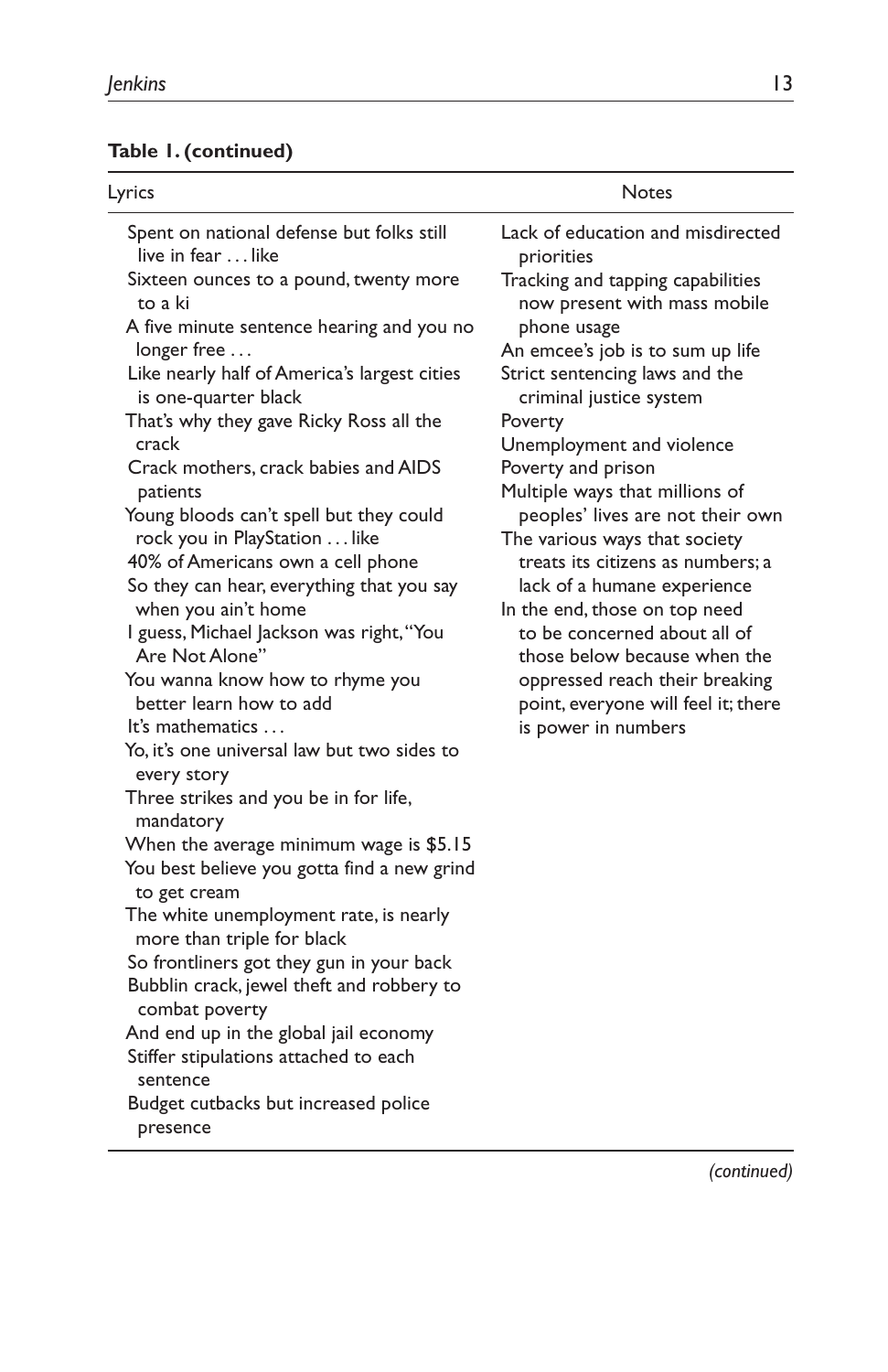# **Table 1. (continued)**

*(continued)*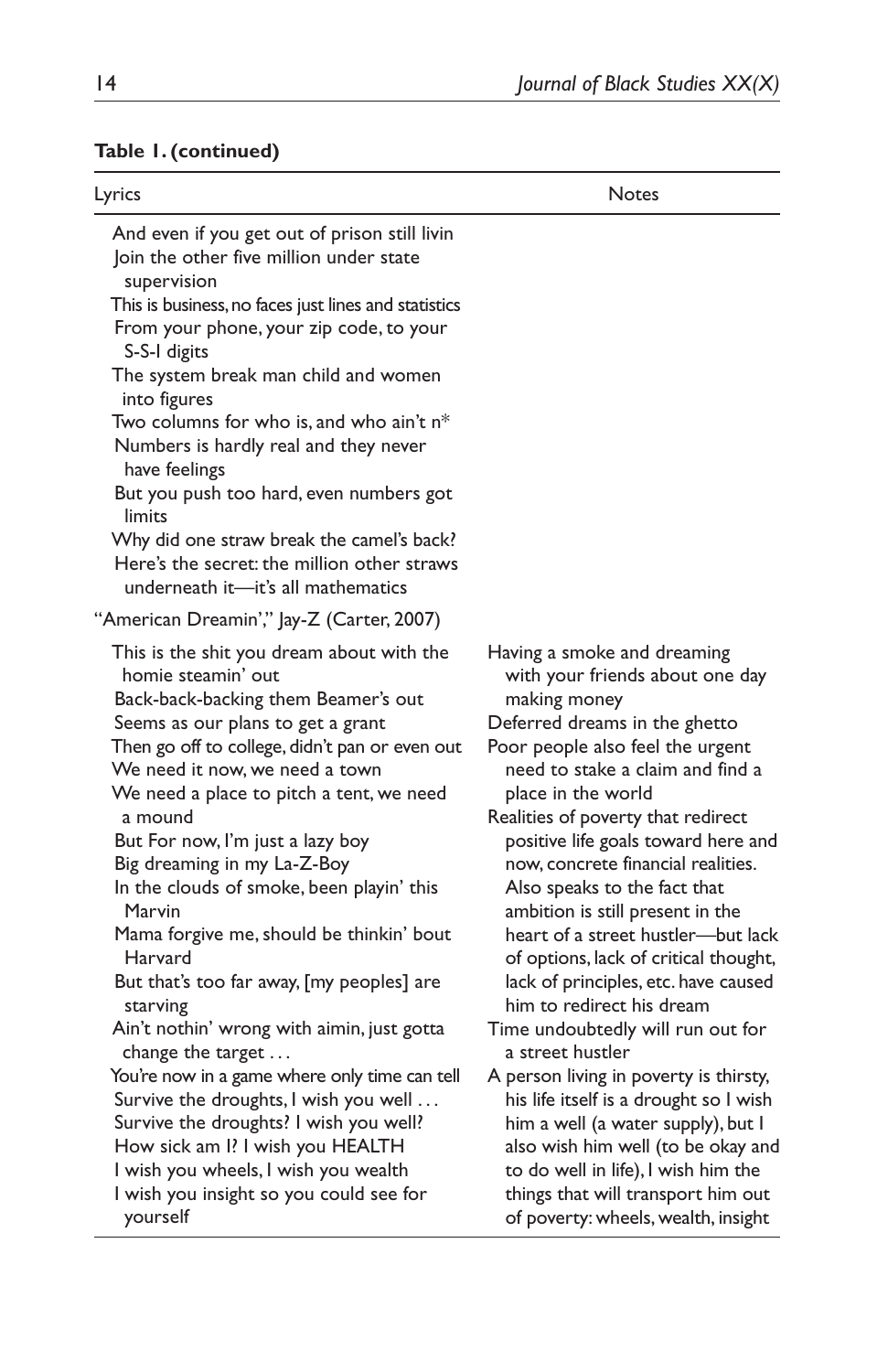| Lyrics                                                                                                                                                                                                                                                                                                                                                                                                                                                                                                                                                                                                                                                                                                                                                                                                                                                                     | <b>Notes</b>                                                                                                                                                                                                                                                                                                                                                                                                                                                                                                                                                                                                                                                                                                                                                                                                                                                                                          |
|----------------------------------------------------------------------------------------------------------------------------------------------------------------------------------------------------------------------------------------------------------------------------------------------------------------------------------------------------------------------------------------------------------------------------------------------------------------------------------------------------------------------------------------------------------------------------------------------------------------------------------------------------------------------------------------------------------------------------------------------------------------------------------------------------------------------------------------------------------------------------|-------------------------------------------------------------------------------------------------------------------------------------------------------------------------------------------------------------------------------------------------------------------------------------------------------------------------------------------------------------------------------------------------------------------------------------------------------------------------------------------------------------------------------------------------------------------------------------------------------------------------------------------------------------------------------------------------------------------------------------------------------------------------------------------------------------------------------------------------------------------------------------------------------|
| And even if you get out of prison still livin<br>Join the other five million under state<br>supervision<br>This is business, no faces just lines and statistics<br>From your phone, your zip code, to your<br>S-S-I digits<br>The system break man child and women<br>into figures<br>Two columns for who is, and who ain't n*<br>Numbers is hardly real and they never<br>have feelings<br>But you push too hard, even numbers got<br>limits<br>Why did one straw break the camel's back?<br>Here's the secret: the million other straws<br>underneath it-it's all mathematics                                                                                                                                                                                                                                                                                            |                                                                                                                                                                                                                                                                                                                                                                                                                                                                                                                                                                                                                                                                                                                                                                                                                                                                                                       |
| "American Dreamin'," Jay-Z (Carter, 2007)                                                                                                                                                                                                                                                                                                                                                                                                                                                                                                                                                                                                                                                                                                                                                                                                                                  |                                                                                                                                                                                                                                                                                                                                                                                                                                                                                                                                                                                                                                                                                                                                                                                                                                                                                                       |
| This is the shit you dream about with the<br>homie steamin' out<br>Back-back-backing them Beamer's out<br>Seems as our plans to get a grant<br>Then go off to college, didn't pan or even out<br>We need it now, we need a town<br>We need a place to pitch a tent, we need<br>a mound<br>But For now, I'm just a lazy boy<br>Big dreaming in my La-Z-Boy<br>In the clouds of smoke, been playin' this<br>Marvin<br>Mama forgive me, should be thinkin' bout<br>Harvard<br>But that's too far away, [my peoples] are<br>starving<br>Ain't nothin' wrong with aimin, just gotta<br>change the target<br>You're now in a game where only time can tell<br>Survive the droughts, I wish you well<br>Survive the droughts? I wish you well?<br>How sick am I? I wish you HEALTH<br>I wish you wheels, I wish you wealth<br>I wish you insight so you could see for<br>yourself | Having a smoke and dreaming<br>with your friends about one day<br>making money<br>Deferred dreams in the ghetto<br>Poor people also feel the urgent<br>need to stake a claim and find a<br>place in the world<br>Realities of poverty that redirect<br>positive life goals toward here and<br>now, concrete financial realities.<br>Also speaks to the fact that<br>ambition is still present in the<br>heart of a street hustler—but lack<br>of options, lack of critical thought,<br>lack of principles, etc. have caused<br>him to redirect his dream<br>Time undoubtedly will run out for<br>a street hustler<br>A person living in poverty is thirsty,<br>his life itself is a drought so I wish<br>him a well (a water supply), but I<br>also wish him well (to be okay and<br>to do well in life), I wish him the<br>things that will transport him out<br>of poverty: wheels, wealth, insight |

### **Table 1. (continued)**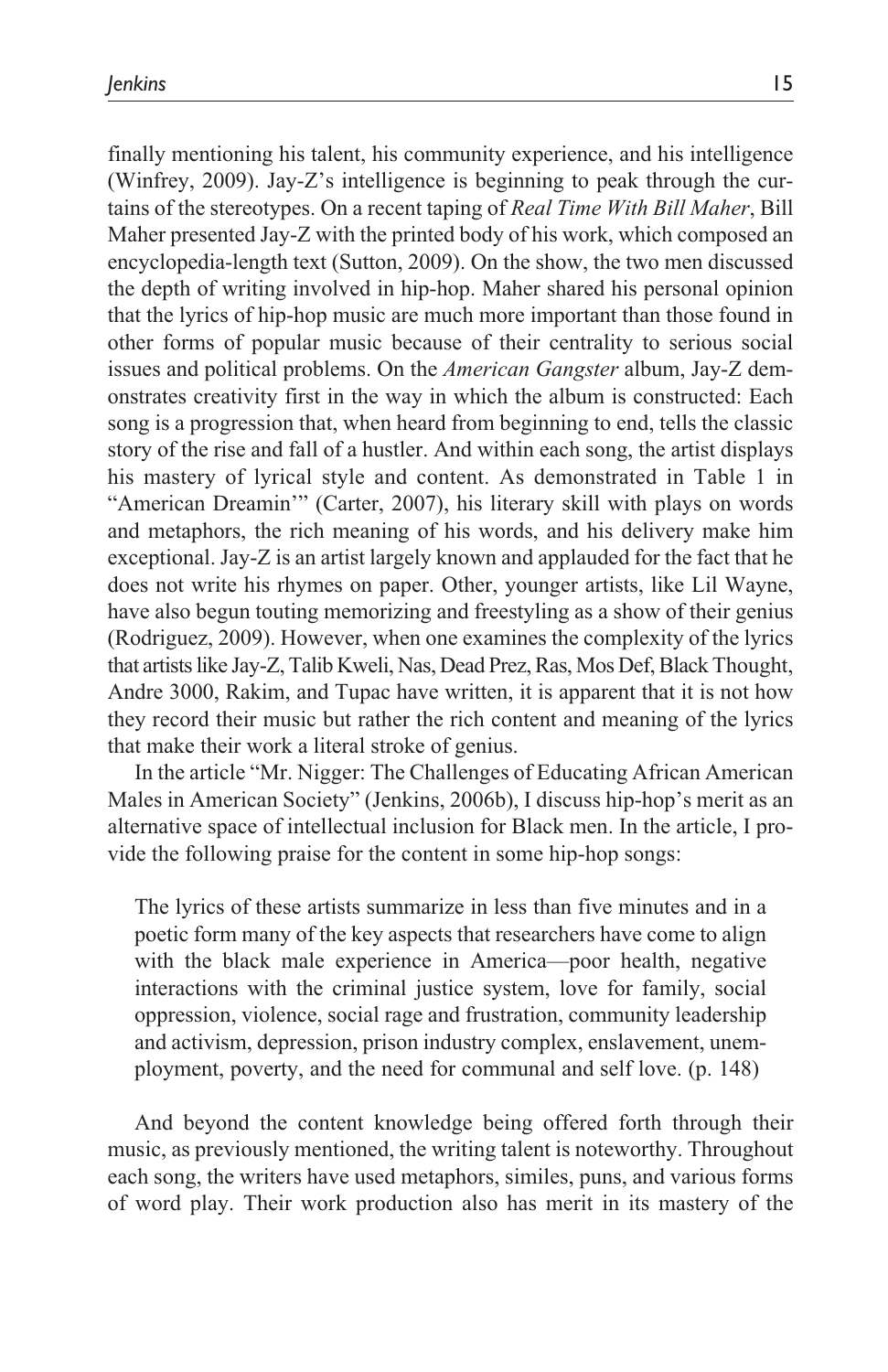finally mentioning his talent, his community experience, and his intelligence (Winfrey, 2009). Jay-Z's intelligence is beginning to peak through the curtains of the stereotypes. On a recent taping of *Real Time With Bill Maher*, Bill Maher presented Jay-Z with the printed body of his work, which composed an encyclopedia-length text (Sutton, 2009). On the show, the two men discussed the depth of writing involved in hip-hop. Maher shared his personal opinion that the lyrics of hip-hop music are much more important than those found in other forms of popular music because of their centrality to serious social issues and political problems. On the *American Gangster* album, Jay-Z demonstrates creativity first in the way in which the album is constructed: Each song is a progression that, when heard from beginning to end, tells the classic story of the rise and fall of a hustler. And within each song, the artist displays his mastery of lyrical style and content. As demonstrated in Table 1 in "American Dreamin"" (Carter, 2007), his literary skill with plays on words and metaphors, the rich meaning of his words, and his delivery make him exceptional. Jay-Z is an artist largely known and applauded for the fact that he does not write his rhymes on paper. Other, younger artists, like Lil Wayne, have also begun touting memorizing and freestyling as a show of their genius (Rodriguez, 2009). However, when one examines the complexity of the lyrics that artists like Jay-Z, Talib Kweli, Nas, Dead Prez, Ras, Mos Def, Black Thought, Andre 3000, Rakim, and Tupac have written, it is apparent that it is not how they record their music but rather the rich content and meaning of the lyrics that make their work a literal stroke of genius.

In the article "Mr. Nigger: The Challenges of Educating African American Males in American Society" (Jenkins, 2006b), I discuss hip-hop's merit as an alternative space of intellectual inclusion for Black men. In the article, I provide the following praise for the content in some hip-hop songs:

The lyrics of these artists summarize in less than five minutes and in a poetic form many of the key aspects that researchers have come to align with the black male experience in America—poor health, negative interactions with the criminal justice system, love for family, social oppression, violence, social rage and frustration, community leadership and activism, depression, prison industry complex, enslavement, unemployment, poverty, and the need for communal and self love. (p. 148)

And beyond the content knowledge being offered forth through their music, as previously mentioned, the writing talent is noteworthy. Throughout each song, the writers have used metaphors, similes, puns, and various forms of word play. Their work production also has merit in its mastery of the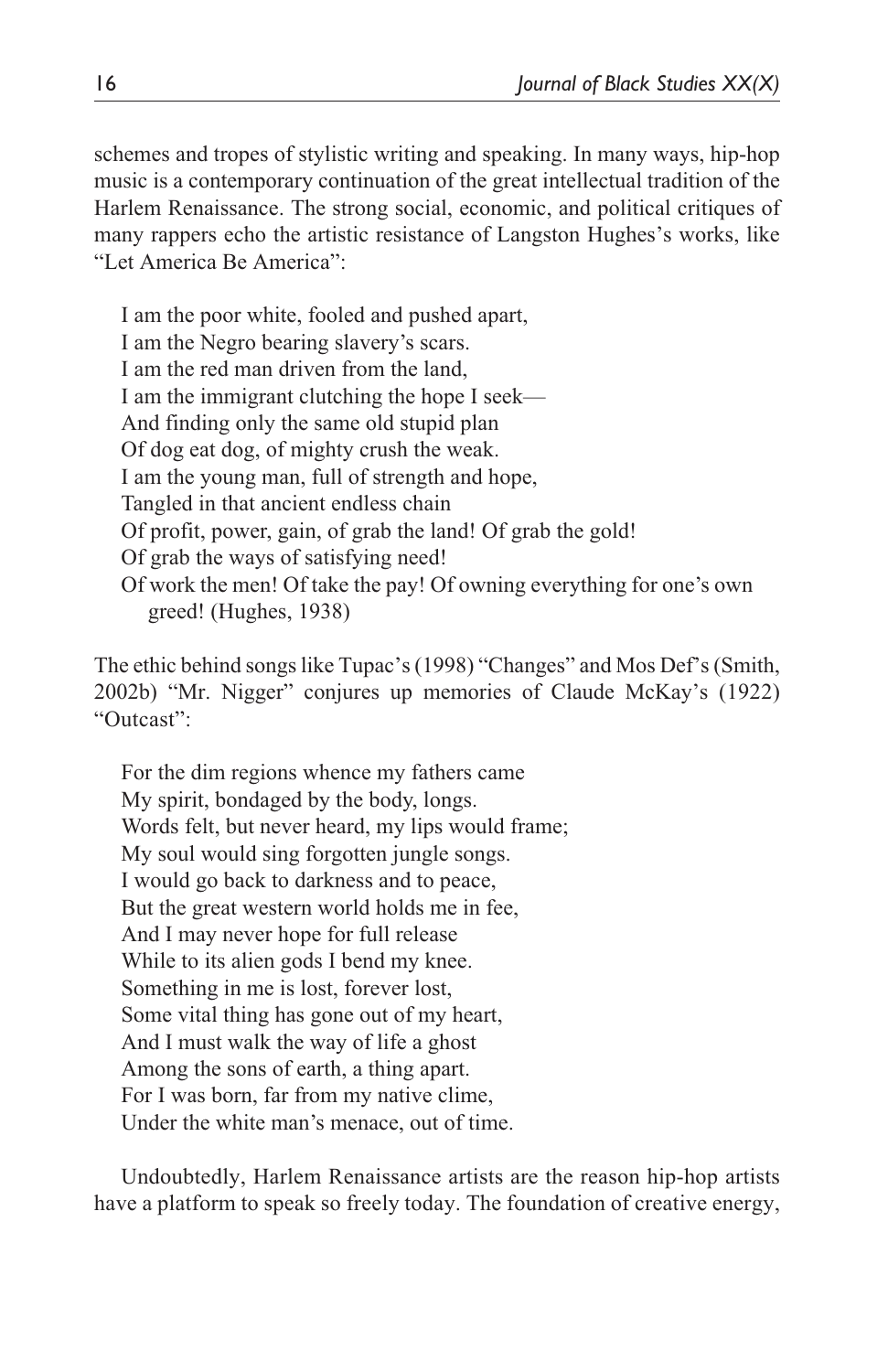schemes and tropes of stylistic writing and speaking. In many ways, hip-hop music is a contemporary continuation of the great intellectual tradition of the Harlem Renaissance. The strong social, economic, and political critiques of many rappers echo the artistic resistance of Langston Hughes's works, like "Let America Be America":

I am the poor white, fooled and pushed apart, I am the Negro bearing slavery's scars. I am the red man driven from the land, I am the immigrant clutching the hope I seek— And finding only the same old stupid plan Of dog eat dog, of mighty crush the weak. I am the young man, full of strength and hope, Tangled in that ancient endless chain Of profit, power, gain, of grab the land! Of grab the gold! Of grab the ways of satisfying need! Of work the men! Of take the pay! Of owning everything for one's own greed! (Hughes, 1938)

The ethic behind songs like Tupac's (1998) "Changes" and Mos Def's (Smith, 2002b) "Mr. Nigger" conjures up memories of Claude McKay's (1922) "Outcast":

For the dim regions whence my fathers came My spirit, bondaged by the body, longs. Words felt, but never heard, my lips would frame; My soul would sing forgotten jungle songs. I would go back to darkness and to peace, But the great western world holds me in fee, And I may never hope for full release While to its alien gods I bend my knee. Something in me is lost, forever lost, Some vital thing has gone out of my heart, And I must walk the way of life a ghost Among the sons of earth, a thing apart. For I was born, far from my native clime, Under the white man's menace, out of time.

Undoubtedly, Harlem Renaissance artists are the reason hip-hop artists have a platform to speak so freely today. The foundation of creative energy,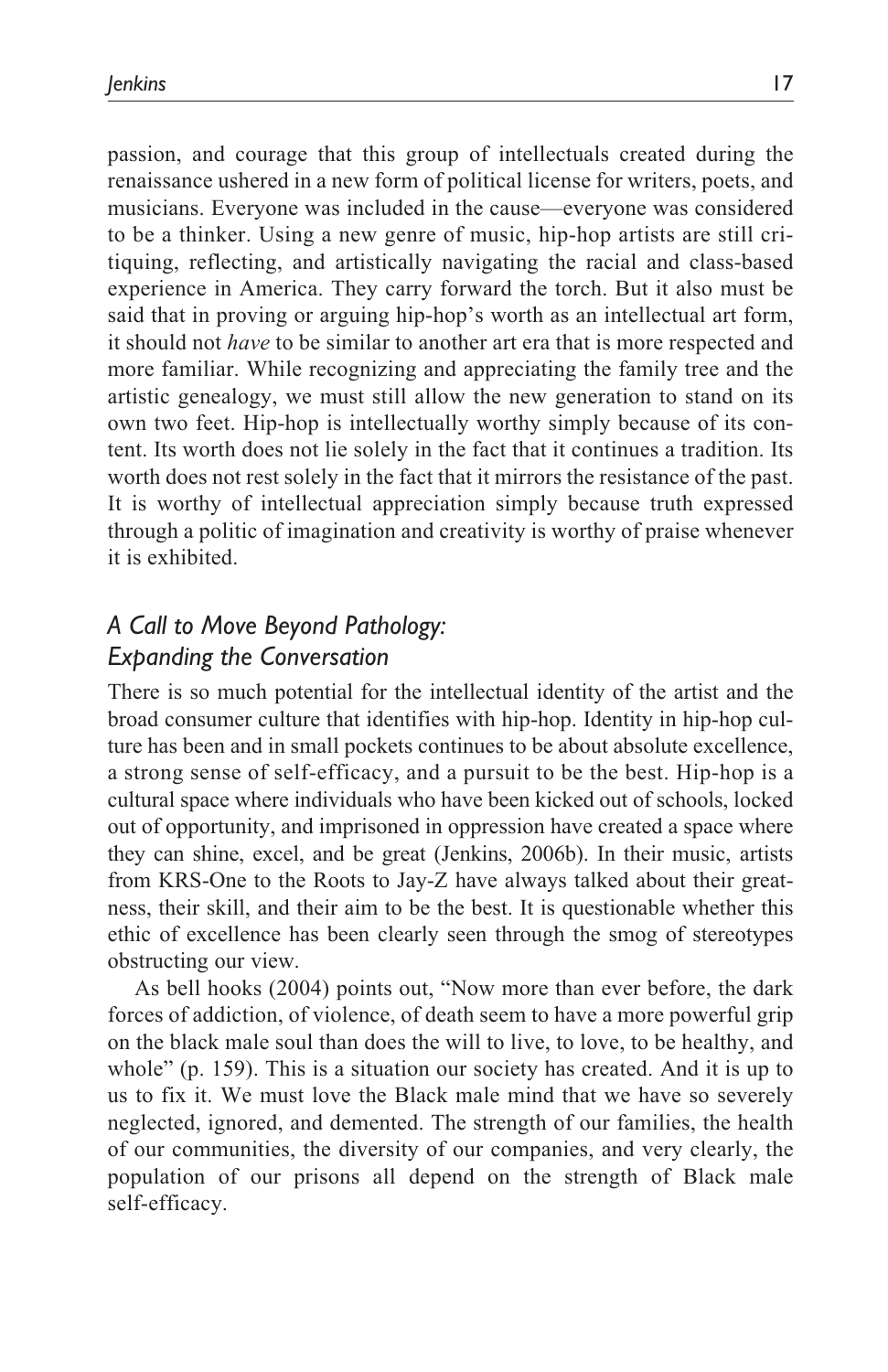passion, and courage that this group of intellectuals created during the renaissance ushered in a new form of political license for writers, poets, and musicians. Everyone was included in the cause—everyone was considered to be a thinker. Using a new genre of music, hip-hop artists are still critiquing, reflecting, and artistically navigating the racial and class-based experience in America. They carry forward the torch. But it also must be said that in proving or arguing hip-hop's worth as an intellectual art form, it should not *have* to be similar to another art era that is more respected and more familiar. While recognizing and appreciating the family tree and the artistic genealogy, we must still allow the new generation to stand on its own two feet. Hip-hop is intellectually worthy simply because of its content. Its worth does not lie solely in the fact that it continues a tradition. Its worth does not rest solely in the fact that it mirrors the resistance of the past. It is worthy of intellectual appreciation simply because truth expressed through a politic of imagination and creativity is worthy of praise whenever it is exhibited.

## *A Call to Move Beyond Pathology: Expanding the Conversation*

There is so much potential for the intellectual identity of the artist and the broad consumer culture that identifies with hip-hop. Identity in hip-hop culture has been and in small pockets continues to be about absolute excellence, a strong sense of self-efficacy, and a pursuit to be the best. Hip-hop is a cultural space where individuals who have been kicked out of schools, locked out of opportunity, and imprisoned in oppression have created a space where they can shine, excel, and be great (Jenkins, 2006b). In their music, artists from KRS-One to the Roots to Jay-Z have always talked about their greatness, their skill, and their aim to be the best. It is questionable whether this ethic of excellence has been clearly seen through the smog of stereotypes obstructing our view.

As bell hooks (2004) points out, "Now more than ever before, the dark forces of addiction, of violence, of death seem to have a more powerful grip on the black male soul than does the will to live, to love, to be healthy, and whole" (p. 159). This is a situation our society has created. And it is up to us to fix it. We must love the Black male mind that we have so severely neglected, ignored, and demented. The strength of our families, the health of our communities, the diversity of our companies, and very clearly, the population of our prisons all depend on the strength of Black male self-efficacy.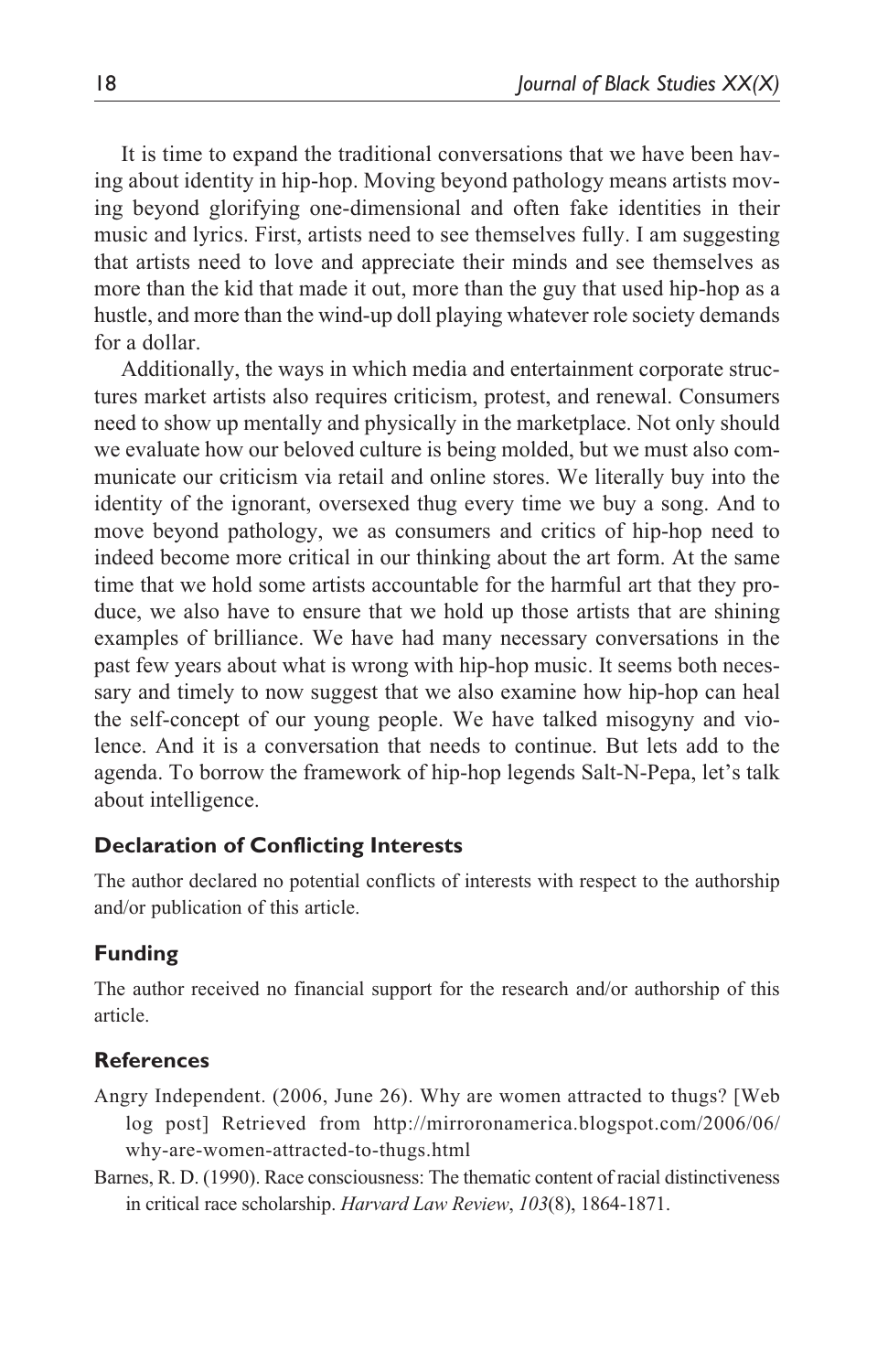It is time to expand the traditional conversations that we have been having about identity in hip-hop. Moving beyond pathology means artists moving beyond glorifying one-dimensional and often fake identities in their music and lyrics. First, artists need to see themselves fully. I am suggesting that artists need to love and appreciate their minds and see themselves as more than the kid that made it out, more than the guy that used hip-hop as a hustle, and more than the wind-up doll playing whatever role society demands for a dollar.

Additionally, the ways in which media and entertainment corporate structures market artists also requires criticism, protest, and renewal. Consumers need to show up mentally and physically in the marketplace. Not only should we evaluate how our beloved culture is being molded, but we must also communicate our criticism via retail and online stores. We literally buy into the identity of the ignorant, oversexed thug every time we buy a song. And to move beyond pathology, we as consumers and critics of hip-hop need to indeed become more critical in our thinking about the art form. At the same time that we hold some artists accountable for the harmful art that they produce, we also have to ensure that we hold up those artists that are shining examples of brilliance. We have had many necessary conversations in the past few years about what is wrong with hip-hop music. It seems both necessary and timely to now suggest that we also examine how hip-hop can heal the self-concept of our young people. We have talked misogyny and violence. And it is a conversation that needs to continue. But lets add to the agenda. To borrow the framework of hip-hop legends Salt-N-Pepa, let's talk about intelligence.

#### **Declaration of Conflicting Interests**

The author declared no potential conflicts of interests with respect to the authorship and/or publication of this article.

#### **Funding**

The author received no financial support for the research and/or authorship of this article.

#### **References**

- Angry Independent. (2006, June 26). Why are women attracted to thugs? [Web log post] Retrieved from http://mirroronamerica.blogspot.com/2006/06/ why-are-women-attracted-to-thugs.html
- Barnes, R. D. (1990). Race consciousness: The thematic content of racial distinctiveness in critical race scholarship. *Harvard Law Review*, *103*(8), 1864-1871.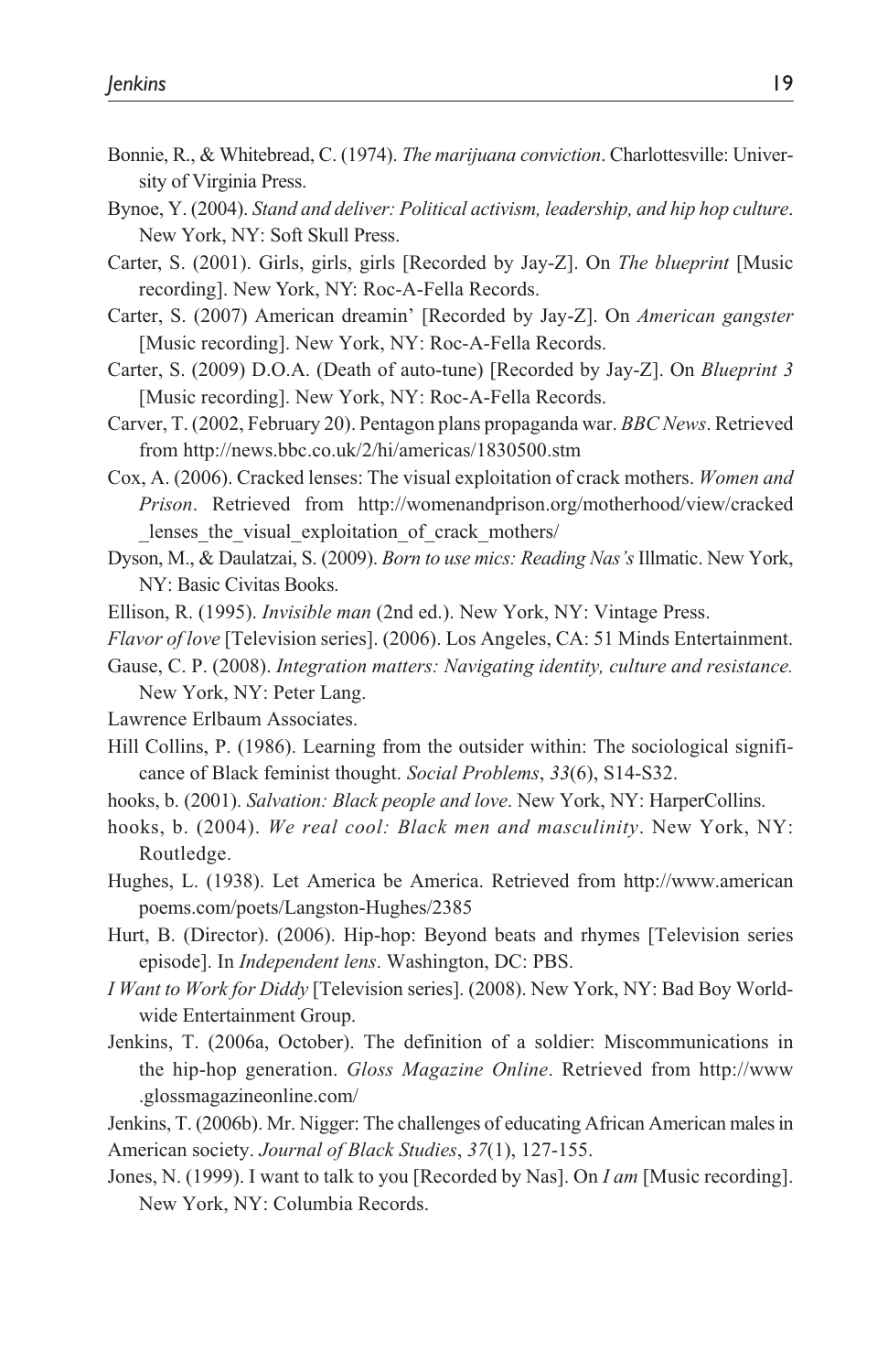- Bonnie, R., & Whitebread, C. (1974). *The marijuana conviction*. Charlottesville: University of Virginia Press.
- Bynoe, Y. (2004). *Stand and deliver: Political activism, leadership, and hip hop culture*. New York, NY: Soft Skull Press.
- Carter, S. (2001). Girls, girls, girls [Recorded by Jay-Z]. On *The blueprint* [Music recording]. New York, NY: Roc-A-Fella Records.
- Carter, S. (2007) American dreamin' [Recorded by Jay-Z]. On *American gangster* [Music recording]. New York, NY: Roc-A-Fella Records.
- Carter, S. (2009) D.O.A. (Death of auto-tune) [Recorded by Jay-Z]. On *Blueprint 3* [Music recording]. New York, NY: Roc-A-Fella Records.
- Carver, T. (2002, February 20). Pentagon plans propaganda war. *BBC News*. Retrieved from http://news.bbc.co.uk/2/hi/americas/1830500.stm
- Cox, A. (2006). Cracked lenses: The visual exploitation of crack mothers. *Women and Prison*. Retrieved from http://womenandprison.org/motherhood/view/cracked lenses the visual exploitation of crack mothers/
- Dyson, M., & Daulatzai, S. (2009). *Born to use mics: Reading Nas's* Illmatic. New York, NY: Basic Civitas Books.
- Ellison, R. (1995). *Invisible man* (2nd ed.). New York, NY: Vintage Press.
- *Flavor of love* [Television series]. (2006). Los Angeles, CA: 51 Minds Entertainment.
- Gause, C. P. (2008). *Integration matters: Navigating identity, culture and resistance.* New York, NY: Peter Lang.
- Lawrence Erlbaum Associates.
- Hill Collins, P. (1986). Learning from the outsider within: The sociological significance of Black feminist thought. *Social Problems*, *33*(6), S14-S32.
- hooks, b. (2001). *Salvation: Black people and love*. New York, NY: HarperCollins.
- hooks, b. (2004). *We real cool: Black men and masculinity*. New York, NY: Routledge.
- Hughes, L. (1938). Let America be America. Retrieved from http://www.american poems.com/poets/Langston-Hughes/2385
- Hurt, B. (Director). (2006). Hip-hop: Beyond beats and rhymes [Television series episode]. In *Independent lens*. Washington, DC: PBS.
- *I Want to Work for Diddy* [Television series]. (2008). New York, NY: Bad Boy Worldwide Entertainment Group.
- Jenkins, T. (2006a, October). The definition of a soldier: Miscommunications in the hip-hop generation. *Gloss Magazine Online*. Retrieved from http://www .glossmagazineonline.com/
- Jenkins, T. (2006b). Mr. Nigger: The challenges of educating African American males in American society. *Journal of Black Studies*, *37*(1), 127-155.
- Jones, N. (1999). I want to talk to you [Recorded by Nas]. On *I am* [Music recording]. New York, NY: Columbia Records.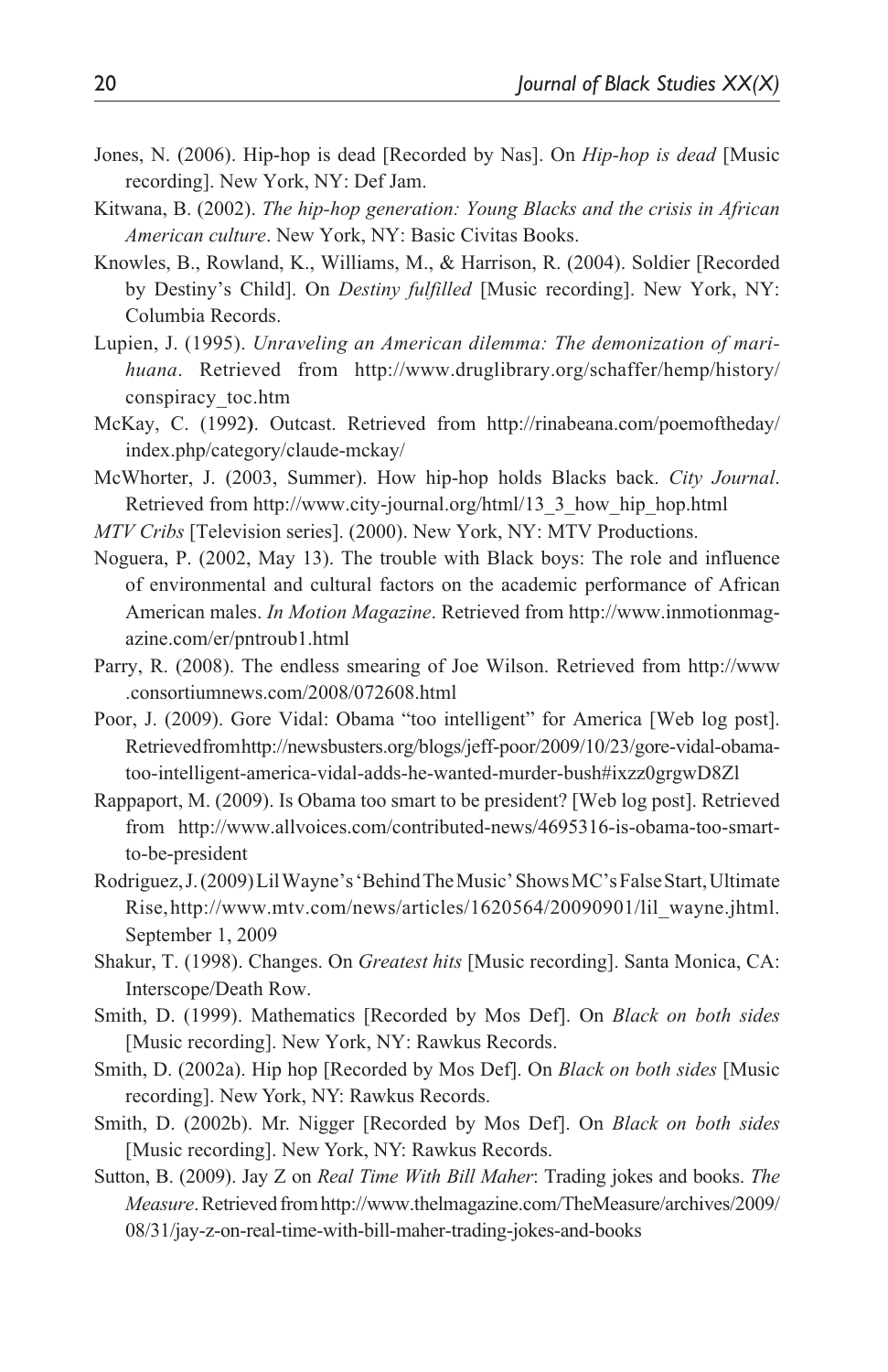- Jones, N. (2006). Hip-hop is dead [Recorded by Nas]. On *Hip-hop is dead* [Music recording]. New York, NY: Def Jam.
- Kitwana, B. (2002). *The hip-hop generation: Young Blacks and the crisis in African American culture*. New York, NY: Basic Civitas Books.
- Knowles, B., Rowland, K., Williams, M., & Harrison, R. (2004). Soldier [Recorded by Destiny's Child]. On *Destiny fulfilled* [Music recording]. New York, NY: Columbia Records.
- Lupien, J. (1995). *Unraveling an American dilemma: The demonization of marihuana*. Retrieved from http://www.druglibrary.org/schaffer/hemp/history/ conspiracy\_toc.htm
- McKay, C. (1992**)**. Outcast. Retrieved from http://rinabeana.com/poemoftheday/ index.php/category/claude-mckay/
- McWhorter, J. (2003, Summer). How hip-hop holds Blacks back. *City Journal*. Retrieved from http://www.city-journal.org/html/13\_3\_how\_hip\_hop.html
- *MTV Cribs* [Television series]. (2000). New York, NY: MTV Productions.
- Noguera, P. (2002, May 13). The trouble with Black boys: The role and influence of environmental and cultural factors on the academic performance of African American males. *In Motion Magazine*. Retrieved from http://www.inmotionmagazine.com/er/pntroub1.html
- Parry, R. (2008). The endless smearing of Joe Wilson. Retrieved from http://www .consortiumnews.com/2008/072608.html
- Poor, J. (2009). Gore Vidal: Obama "too intelligent" for America [Web log post]. Retrieved from http://newsbusters.org/blogs/jeff-poor/2009/10/23/gore-vidal-obamatoo-intelligent-america-vidal-adds-he-wanted-murder-bush#ixzz0grgwD8Zl
- Rappaport, M. (2009). Is Obama too smart to be president? [Web log post]. Retrieved from http://www.allvoices.com/contributed-news/4695316-is-obama-too-smartto-be-president
- Rodriguez, J. (2009) Lil Wayne's 'Behind The Music' Shows MC's False Start, Ultimate Rise, http://www.mtv.com/news/articles/1620564/20090901/lil\_wayne.jhtml. September 1, 2009
- Shakur, T. (1998). Changes. On *Greatest hits* [Music recording]. Santa Monica, CA: Interscope/Death Row.
- Smith, D. (1999). Mathematics [Recorded by Mos Def]. On *Black on both sides* [Music recording]. New York, NY: Rawkus Records.
- Smith, D. (2002a). Hip hop [Recorded by Mos Def]. On *Black on both sides* [Music recording]. New York, NY: Rawkus Records.
- Smith, D. (2002b). Mr. Nigger [Recorded by Mos Def]. On *Black on both sides* [Music recording]. New York, NY: Rawkus Records.
- Sutton, B. (2009). Jay Z on *Real Time With Bill Maher*: Trading jokes and books. *The Measure*. Retrieved from http://www.thelmagazine.com/TheMeasure/archives/2009/ 08/31/jay-z-on-real-time-with-bill-maher-trading-jokes-and-books